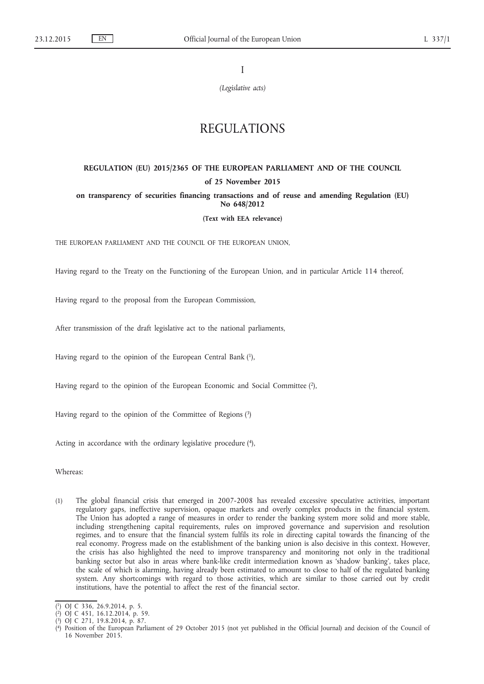I

*(Legislative acts)*

# REGULATIONS

# **REGULATION (EU) 2015/2365 OF THE EUROPEAN PARLIAMENT AND OF THE COUNCIL of 25 November 2015**

# **on transparency of securities financing transactions and of reuse and amending Regulation (EU) No 648/2012**

**(Text with EEA relevance)**

THE EUROPEAN PARLIAMENT AND THE COUNCIL OF THE EUROPEAN UNION,

Having regard to the Treaty on the Functioning of the European Union, and in particular Article 114 thereof,

Having regard to the proposal from the European Commission,

After transmission of the draft legislative act to the national parliaments,

Having regard to the opinion of the European Central Bank (1),

Having regard to the opinion of the European Economic and Social Committee (2),

Having regard to the opinion of the Committee of Regions (3)

Acting in accordance with the ordinary legislative procedure (4),

Whereas:

(1) The global financial crisis that emerged in 2007-2008 has revealed excessive speculative activities, important regulatory gaps, ineffective supervision, opaque markets and overly complex products in the financial system. The Union has adopted a range of measures in order to render the banking system more solid and more stable, including strengthening capital requirements, rules on improved governance and supervision and resolution regimes, and to ensure that the financial system fulfils its role in directing capital towards the financing of the real economy. Progress made on the establishment of the banking union is also decisive in this context. However, the crisis has also highlighted the need to improve transparency and monitoring not only in the traditional banking sector but also in areas where bank-like credit intermediation known as 'shadow banking', takes place, the scale of which is alarming, having already been estimated to amount to close to half of the regulated banking system. Any shortcomings with regard to those activities, which are similar to those carried out by credit institutions, have the potential to affect the rest of the financial sector.

<sup>(</sup> 1) OJ C 336, 26.9.2014, p. 5.

<sup>(</sup> 2) OJ C 451, 16.12.2014, p. 59.

<sup>(</sup> 3) OJ C 271, 19.8.2014, p. 87.

<sup>(</sup> 4) Position of the European Parliament of 29 October 2015 (not yet published in the Official Journal) and decision of the Council of 16 November 2015.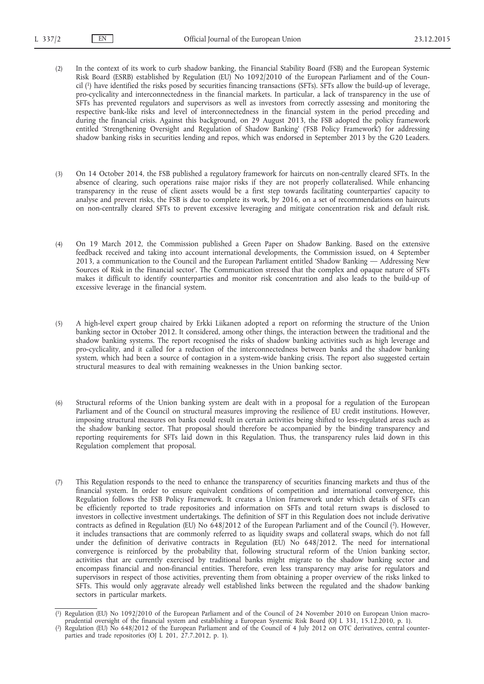- (2) In the context of its work to curb shadow banking, the Financial Stability Board (FSB) and the European Systemic Risk Board (ESRB) established by Regulation (EU) No 1092/2010 of the European Parliament and of the Council (1) have identified the risks posed by securities financing transactions (SFTs). SFTs allow the build-up of leverage, pro-cyclicality and interconnectedness in the financial markets. In particular, a lack of transparency in the use of SFTs has prevented regulators and supervisors as well as investors from correctly assessing and monitoring the respective bank-like risks and level of interconnectedness in the financial system in the period preceding and during the financial crisis. Against this background, on 29 August 2013, the FSB adopted the policy framework entitled 'Strengthening Oversight and Regulation of Shadow Banking' ('FSB Policy Framework') for addressing shadow banking risks in securities lending and repos, which was endorsed in September 2013 by the G20 Leaders.
- (3) On 14 October 2014, the FSB published a regulatory framework for haircuts on non-centrally cleared SFTs. In the absence of clearing, such operations raise major risks if they are not properly collateralised. While enhancing transparency in the reuse of client assets would be a first step towards facilitating counterparties' capacity to analyse and prevent risks, the FSB is due to complete its work, by 2016, on a set of recommendations on haircuts on non-centrally cleared SFTs to prevent excessive leveraging and mitigate concentration risk and default risk.
- (4) On 19 March 2012, the Commission published a Green Paper on Shadow Banking. Based on the extensive feedback received and taking into account international developments, the Commission issued, on 4 September 2013, a communication to the Council and the European Parliament entitled 'Shadow Banking — Addressing New Sources of Risk in the Financial sector'. The Communication stressed that the complex and opaque nature of SFTs makes it difficult to identify counterparties and monitor risk concentration and also leads to the build-up of excessive leverage in the financial system.
- (5) A high-level expert group chaired by Erkki Liikanen adopted a report on reforming the structure of the Union banking sector in October 2012. It considered, among other things, the interaction between the traditional and the shadow banking systems. The report recognised the risks of shadow banking activities such as high leverage and pro-cyclicality, and it called for a reduction of the interconnectedness between banks and the shadow banking system, which had been a source of contagion in a system-wide banking crisis. The report also suggested certain structural measures to deal with remaining weaknesses in the Union banking sector.
- (6) Structural reforms of the Union banking system are dealt with in a proposal for a regulation of the European Parliament and of the Council on structural measures improving the resilience of EU credit institutions. However, imposing structural measures on banks could result in certain activities being shifted to less-regulated areas such as the shadow banking sector. That proposal should therefore be accompanied by the binding transparency and reporting requirements for SFTs laid down in this Regulation. Thus, the transparency rules laid down in this Regulation complement that proposal.
- (7) This Regulation responds to the need to enhance the transparency of securities financing markets and thus of the financial system. In order to ensure equivalent conditions of competition and international convergence, this Regulation follows the FSB Policy Framework. It creates a Union framework under which details of SFTs can be efficiently reported to trade repositories and information on SFTs and total return swaps is disclosed to investors in collective investment undertakings. The definition of SFT in this Regulation does not include derivative contracts as defined in Regulation (EU) No 648/2012 of the European Parliament and of the Council (2). However, it includes transactions that are commonly referred to as liquidity swaps and collateral swaps, which do not fall under the definition of derivative contracts in Regulation (EU) No 648/2012. The need for international convergence is reinforced by the probability that, following structural reform of the Union banking sector, activities that are currently exercised by traditional banks might migrate to the shadow banking sector and encompass financial and non-financial entities. Therefore, even less transparency may arise for regulators and supervisors in respect of those activities, preventing them from obtaining a proper overview of the risks linked to SFTs. This would only aggravate already well established links between the regulated and the shadow banking sectors in particular markets.

<sup>(</sup> 1) Regulation (EU) No 1092/2010 of the European Parliament and of the Council of 24 November 2010 on European Union macroprudential oversight of the financial system and establishing a European Systemic Risk Board (OJ L 331, 15.12.2010, p. 1).

<sup>(</sup> 2) Regulation (EU) No 648/2012 of the European Parliament and of the Council of 4 July 2012 on OTC derivatives, central counterparties and trade repositories (OJ L 201, 27.7.2012, p. 1).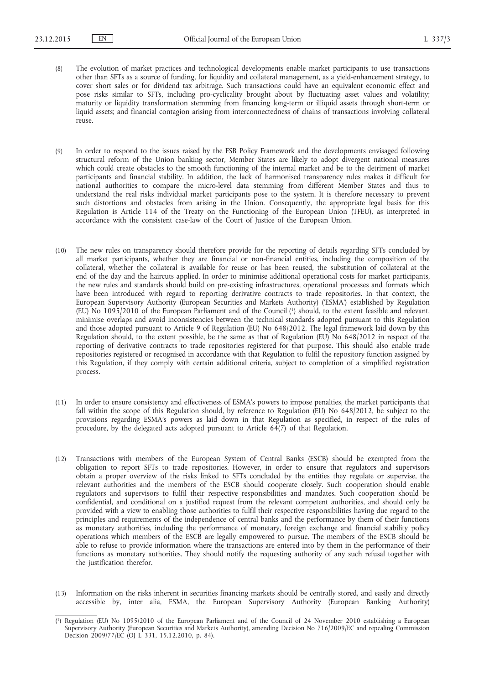- (8) The evolution of market practices and technological developments enable market participants to use transactions other than SFTs as a source of funding, for liquidity and collateral management, as a yield-enhancement strategy, to cover short sales or for dividend tax arbitrage. Such transactions could have an equivalent economic effect and pose risks similar to SFTs, including pro-cyclicality brought about by fluctuating asset values and volatility; maturity or liquidity transformation stemming from financing long-term or illiquid assets through short-term or liquid assets; and financial contagion arising from interconnectedness of chains of transactions involving collateral reuse.
- (9) In order to respond to the issues raised by the FSB Policy Framework and the developments envisaged following structural reform of the Union banking sector, Member States are likely to adopt divergent national measures which could create obstacles to the smooth functioning of the internal market and be to the detriment of market participants and financial stability. In addition, the lack of harmonised transparency rules makes it difficult for national authorities to compare the micro-level data stemming from different Member States and thus to understand the real risks individual market participants pose to the system. It is therefore necessary to prevent such distortions and obstacles from arising in the Union. Consequently, the appropriate legal basis for this Regulation is Article 114 of the Treaty on the Functioning of the European Union (TFEU), as interpreted in accordance with the consistent case-law of the Court of Justice of the European Union.
- (10) The new rules on transparency should therefore provide for the reporting of details regarding SFTs concluded by all market participants, whether they are financial or non-financial entities, including the composition of the collateral, whether the collateral is available for reuse or has been reused, the substitution of collateral at the end of the day and the haircuts applied. In order to minimise additional operational costs for market participants, the new rules and standards should build on pre-existing infrastructures, operational processes and formats which have been introduced with regard to reporting derivative contracts to trade repositories. In that context, the European Supervisory Authority (European Securities and Markets Authority) ('ESMA') established by Regulation (EU) No 1095/2010 of the European Parliament and of the Council (1) should, to the extent feasible and relevant, minimise overlaps and avoid inconsistencies between the technical standards adopted pursuant to this Regulation and those adopted pursuant to Article 9 of Regulation (EU) No 648/2012. The legal framework laid down by this Regulation should, to the extent possible, be the same as that of Regulation (EU) No 648/2012 in respect of the reporting of derivative contracts to trade repositories registered for that purpose. This should also enable trade repositories registered or recognised in accordance with that Regulation to fulfil the repository function assigned by this Regulation, if they comply with certain additional criteria, subject to completion of a simplified registration process.
- (11) In order to ensure consistency and effectiveness of ESMA's powers to impose penalties, the market participants that fall within the scope of this Regulation should, by reference to Regulation (EU) No 648/2012, be subject to the provisions regarding ESMA's powers as laid down in that Regulation as specified, in respect of the rules of procedure, by the delegated acts adopted pursuant to Article 64(7) of that Regulation.
- (12) Transactions with members of the European System of Central Banks (ESCB) should be exempted from the obligation to report SFTs to trade repositories. However, in order to ensure that regulators and supervisors obtain a proper overview of the risks linked to SFTs concluded by the entities they regulate or supervise, the relevant authorities and the members of the ESCB should cooperate closely. Such cooperation should enable regulators and supervisors to fulfil their respective responsibilities and mandates. Such cooperation should be confidential, and conditional on a justified request from the relevant competent authorities, and should only be provided with a view to enabling those authorities to fulfil their respective responsibilities having due regard to the principles and requirements of the independence of central banks and the performance by them of their functions as monetary authorities, including the performance of monetary, foreign exchange and financial stability policy operations which members of the ESCB are legally empowered to pursue. The members of the ESCB should be able to refuse to provide information where the transactions are entered into by them in the performance of their functions as monetary authorities. They should notify the requesting authority of any such refusal together with the justification therefor.
- (13) Information on the risks inherent in securities financing markets should be centrally stored, and easily and directly accessible by, inter alia, ESMA, the European Supervisory Authority (European Banking Authority)

<sup>(</sup> 1) Regulation (EU) No 1095/2010 of the European Parliament and of the Council of 24 November 2010 establishing a European Supervisory Authority (European Securities and Markets Authority), amending Decision No 716/2009/EC and repealing Commission Decision 2009/77/EC (OJ L 331, 15.12.2010, p. 84).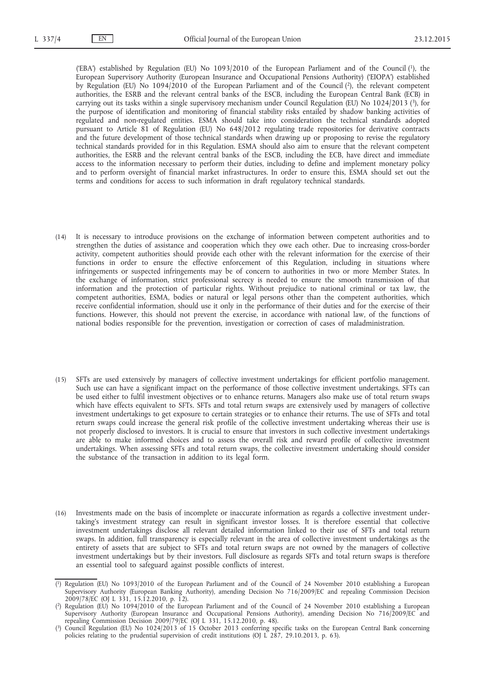('EBA') established by Regulation (EU) No 1093/2010 of the European Parliament and of the Council (1), the European Supervisory Authority (European Insurance and Occupational Pensions Authority) ('EIOPA') established by Regulation (EU) No 1094/2010 of the European Parliament and of the Council (2), the relevant competent authorities, the ESRB and the relevant central banks of the ESCB, including the European Central Bank (ECB) in carrying out its tasks within a single supervisory mechanism under Council Regulation (EU) No 1024/2013 (3), for the purpose of identification and monitoring of financial stability risks entailed by shadow banking activities of regulated and non-regulated entities. ESMA should take into consideration the technical standards adopted pursuant to Article 81 of Regulation (EU) No 648/2012 regulating trade repositories for derivative contracts and the future development of those technical standards when drawing up or proposing to revise the regulatory technical standards provided for in this Regulation. ESMA should also aim to ensure that the relevant competent authorities, the ESRB and the relevant central banks of the ESCB, including the ECB, have direct and immediate access to the information necessary to perform their duties, including to define and implement monetary policy and to perform oversight of financial market infrastructures. In order to ensure this, ESMA should set out the terms and conditions for access to such information in draft regulatory technical standards.

- (14) It is necessary to introduce provisions on the exchange of information between competent authorities and to strengthen the duties of assistance and cooperation which they owe each other. Due to increasing cross-border activity, competent authorities should provide each other with the relevant information for the exercise of their functions in order to ensure the effective enforcement of this Regulation, including in situations where infringements or suspected infringements may be of concern to authorities in two or more Member States. In the exchange of information, strict professional secrecy is needed to ensure the smooth transmission of that information and the protection of particular rights. Without prejudice to national criminal or tax law, the competent authorities, ESMA, bodies or natural or legal persons other than the competent authorities, which receive confidential information, should use it only in the performance of their duties and for the exercise of their functions. However, this should not prevent the exercise, in accordance with national law, of the functions of national bodies responsible for the prevention, investigation or correction of cases of maladministration.
- (15) SFTs are used extensively by managers of collective investment undertakings for efficient portfolio management. Such use can have a significant impact on the performance of those collective investment undertakings. SFTs can be used either to fulfil investment objectives or to enhance returns. Managers also make use of total return swaps which have effects equivalent to SFTs. SFTs and total return swaps are extensively used by managers of collective investment undertakings to get exposure to certain strategies or to enhance their returns. The use of SFTs and total return swaps could increase the general risk profile of the collective investment undertaking whereas their use is not properly disclosed to investors. It is crucial to ensure that investors in such collective investment undertakings are able to make informed choices and to assess the overall risk and reward profile of collective investment undertakings. When assessing SFTs and total return swaps, the collective investment undertaking should consider the substance of the transaction in addition to its legal form.
- (16) Investments made on the basis of incomplete or inaccurate information as regards a collective investment undertaking's investment strategy can result in significant investor losses. It is therefore essential that collective investment undertakings disclose all relevant detailed information linked to their use of SFTs and total return swaps. In addition, full transparency is especially relevant in the area of collective investment undertakings as the entirety of assets that are subject to SFTs and total return swaps are not owned by the managers of collective investment undertakings but by their investors. Full disclosure as regards SFTs and total return swaps is therefore an essential tool to safeguard against possible conflicts of interest.

<sup>(</sup> 1) Regulation (EU) No 1093/2010 of the European Parliament and of the Council of 24 November 2010 establishing a European Supervisory Authority (European Banking Authority), amending Decision No 716/2009/EC and repealing Commission Decision 2009/78/EC (OJ L 331, 15.12.2010, p. 12).

<sup>(</sup> 2) Regulation (EU) No 1094/2010 of the European Parliament and of the Council of 24 November 2010 establishing a European Supervisory Authority (European Insurance and Occupational Pensions Authority), amending Decision No 716/2009/EC and repealing Commission Decision 2009/79/EC (OJ L 331, 15.12.2010, p. 48).

<sup>(</sup> 3) Council Regulation (EU) No 1024/2013 of 15 October 2013 conferring specific tasks on the European Central Bank concerning policies relating to the prudential supervision of credit institutions (OJ L 287, 29.10.2013, p. 63).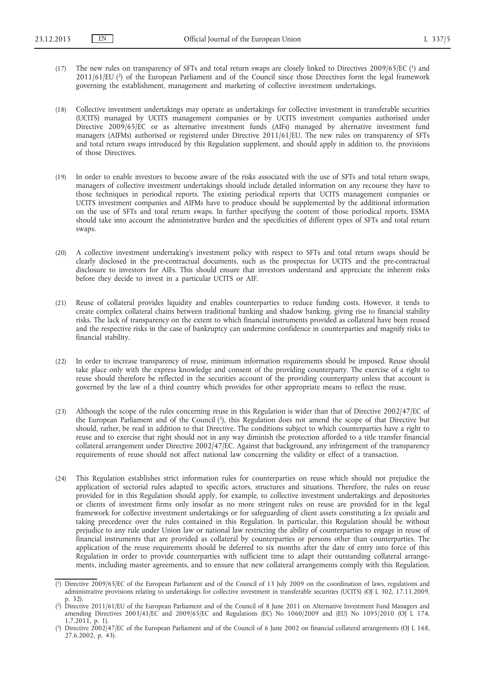- (17) The new rules on transparency of SFTs and total return swaps are closely linked to Directives 2009/65/EC (1) and 2011/61/EU (2) of the European Parliament and of the Council since those Directives form the legal framework governing the establishment, management and marketing of collective investment undertakings.
- (18) Collective investment undertakings may operate as undertakings for collective investment in transferable securities (UCITS) managed by UCITS management companies or by UCITS investment companies authorised under Directive 2009/65/EC or as alternative investment funds (AIFs) managed by alternative investment fund managers (AIFMs) authorised or registered under Directive 2011/61/EU. The new rules on transparency of SFTs and total return swaps introduced by this Regulation supplement, and should apply in addition to, the provisions of those Directives.
- (19) In order to enable investors to become aware of the risks associated with the use of SFTs and total return swaps, managers of collective investment undertakings should include detailed information on any recourse they have to those techniques in periodical reports. The existing periodical reports that UCITS management companies or UCITS investment companies and AIFMs have to produce should be supplemented by the additional information on the use of SFTs and total return swaps. In further specifying the content of those periodical reports, ESMA should take into account the administrative burden and the specificities of different types of SFTs and total return swaps.
- (20) A collective investment undertaking's investment policy with respect to SFTs and total return swaps should be clearly disclosed in the pre-contractual documents, such as the prospectus for UCITS and the pre-contractual disclosure to investors for AIFs. This should ensure that investors understand and appreciate the inherent risks before they decide to invest in a particular UCITS or AIF.
- (21) Reuse of collateral provides liquidity and enables counterparties to reduce funding costs. However, it tends to create complex collateral chains between traditional banking and shadow banking, giving rise to financial stability risks. The lack of transparency on the extent to which financial instruments provided as collateral have been reused and the respective risks in the case of bankruptcy can undermine confidence in counterparties and magnify risks to financial stability.
- (22) In order to increase transparency of reuse, minimum information requirements should be imposed. Reuse should take place only with the express knowledge and consent of the providing counterparty. The exercise of a right to reuse should therefore be reflected in the securities account of the providing counterparty unless that account is governed by the law of a third country which provides for other appropriate means to reflect the reuse.
- (23) Although the scope of the rules concerning reuse in this Regulation is wider than that of Directive 2002/47/EC of the European Parliament and of the Council (3), this Regulation does not amend the scope of that Directive but should, rather, be read in addition to that Directive. The conditions subject to which counterparties have a right to reuse and to exercise that right should not in any way diminish the protection afforded to a title transfer financial collateral arrangement under Directive 2002/47/EC. Against that background, any infringement of the transparency requirements of reuse should not affect national law concerning the validity or effect of a transaction.
- (24) This Regulation establishes strict information rules for counterparties on reuse which should not prejudice the application of sectorial rules adapted to specific actors, structures and situations. Therefore, the rules on reuse provided for in this Regulation should apply, for example, to collective investment undertakings and depositories or clients of investment firms only insofar as no more stringent rules on reuse are provided for in the legal framework for collective investment undertakings or for safeguarding of client assets constituting a *lex specialis* and taking precedence over the rules contained in this Regulation. In particular, this Regulation should be without prejudice to any rule under Union law or national law restricting the ability of counterparties to engage in reuse of financial instruments that are provided as collateral by counterparties or persons other than counterparties. The application of the reuse requirements should be deferred to six months after the date of entry into force of this Regulation in order to provide counterparties with sufficient time to adapt their outstanding collateral arrangements, including master agreements, and to ensure that new collateral arrangements comply with this Regulation.

<sup>(</sup> 1) Directive 2009/65/EC of the European Parliament and of the Council of 13 July 2009 on the coordination of laws, regulations and administrative provisions relating to undertakings for collective investment in transferable securities (UCITS) (OJ L 302, 17.11.2009, p. 32).

<sup>(</sup> 2) Directive 2011/61/EU of the European Parliament and of the Council of 8 June 2011 on Alternative Investment Fund Managers and amending Directives 2003/41/EC and 2009/65/EC and Regulations (EC) No 1060/2009 and (EU) No 1095/2010 (O) L 174, 1.7.2011, p. 1).

<sup>(</sup> 3) Directive 2002/47/EC of the European Parliament and of the Council of 6 June 2002 on financial collateral arrangements (OJ L 168, 27.6.2002, p. 43).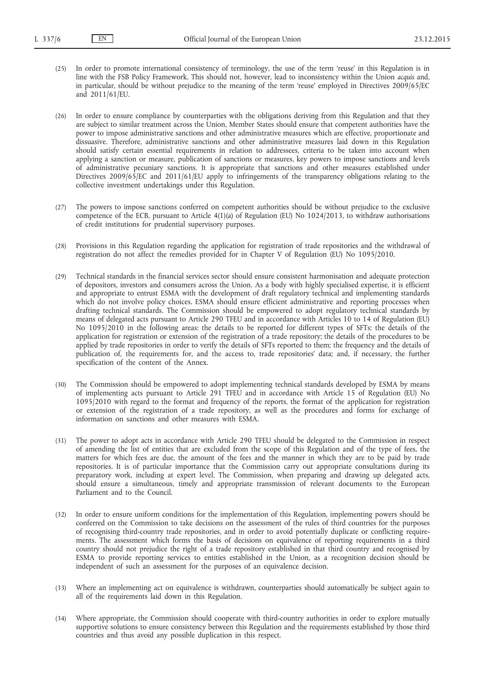(25) In order to promote international consistency of terminology, the use of the term 'reuse' in this Regulation is in line with the FSB Policy Framework. This should not, however, lead to inconsistency within the Union *acquis* and, in particular, should be without prejudice to the meaning of the term 'reuse' employed in Directives 2009/65/EC and 2011/61/EU.

(26) In order to ensure compliance by counterparties with the obligations deriving from this Regulation and that they are subject to similar treatment across the Union, Member States should ensure that competent authorities have the power to impose administrative sanctions and other administrative measures which are effective, proportionate and dissuasive. Therefore, administrative sanctions and other administrative measures laid down in this Regulation should satisfy certain essential requirements in relation to addressees, criteria to be taken into account when applying a sanction or measure, publication of sanctions or measures, key powers to impose sanctions and levels of administrative pecuniary sanctions. It is appropriate that sanctions and other measures established under Directives 2009/65/EC and 2011/61/EU apply to infringements of the transparency obligations relating to the collective investment undertakings under this Regulation.

- (27) The powers to impose sanctions conferred on competent authorities should be without prejudice to the exclusive competence of the ECB, pursuant to Article 4(1)(a) of Regulation (EU) No 1024/2013, to withdraw authorisations of credit institutions for prudential supervisory purposes.
- (28) Provisions in this Regulation regarding the application for registration of trade repositories and the withdrawal of registration do not affect the remedies provided for in Chapter V of Regulation (EU) No 1095/2010.
- (29) Technical standards in the financial services sector should ensure consistent harmonisation and adequate protection of depositors, investors and consumers across the Union. As a body with highly specialised expertise, it is efficient and appropriate to entrust ESMA with the development of draft regulatory technical and implementing standards which do not involve policy choices. ESMA should ensure efficient administrative and reporting processes when drafting technical standards. The Commission should be empowered to adopt regulatory technical standards by means of delegated acts pursuant to Article 290 TFEU and in accordance with Articles 10 to 14 of Regulation (EU) No 1095/2010 in the following areas: the details to be reported for different types of SFTs; the details of the application for registration or extension of the registration of a trade repository; the details of the procedures to be applied by trade repositories in order to verify the details of SFTs reported to them; the frequency and the details of publication of, the requirements for, and the access to, trade repositories' data; and, if necessary, the further specification of the content of the Annex.
- (30) The Commission should be empowered to adopt implementing technical standards developed by ESMA by means of implementing acts pursuant to Article 291 TFEU and in accordance with Article 15 of Regulation (EU) No 1095/2010 with regard to the format and frequency of the reports, the format of the application for registration or extension of the registration of a trade repository, as well as the procedures and forms for exchange of information on sanctions and other measures with ESMA.
- (31) The power to adopt acts in accordance with Article 290 TFEU should be delegated to the Commission in respect of amending the list of entities that are excluded from the scope of this Regulation and of the type of fees, the matters for which fees are due, the amount of the fees and the manner in which they are to be paid by trade repositories. It is of particular importance that the Commission carry out appropriate consultations during its preparatory work, including at expert level. The Commission, when preparing and drawing up delegated acts, should ensure a simultaneous, timely and appropriate transmission of relevant documents to the European Parliament and to the Council.
- (32) In order to ensure uniform conditions for the implementation of this Regulation, implementing powers should be conferred on the Commission to take decisions on the assessment of the rules of third countries for the purposes of recognising third-country trade repositories, and in order to avoid potentially duplicate or conflicting requirements. The assessment which forms the basis of decisions on equivalence of reporting requirements in a third country should not prejudice the right of a trade repository established in that third country and recognised by ESMA to provide reporting services to entities established in the Union, as a recognition decision should be independent of such an assessment for the purposes of an equivalence decision.
- (33) Where an implementing act on equivalence is withdrawn, counterparties should automatically be subject again to all of the requirements laid down in this Regulation.
- (34) Where appropriate, the Commission should cooperate with third-country authorities in order to explore mutually supportive solutions to ensure consistency between this Regulation and the requirements established by those third countries and thus avoid any possible duplication in this respect.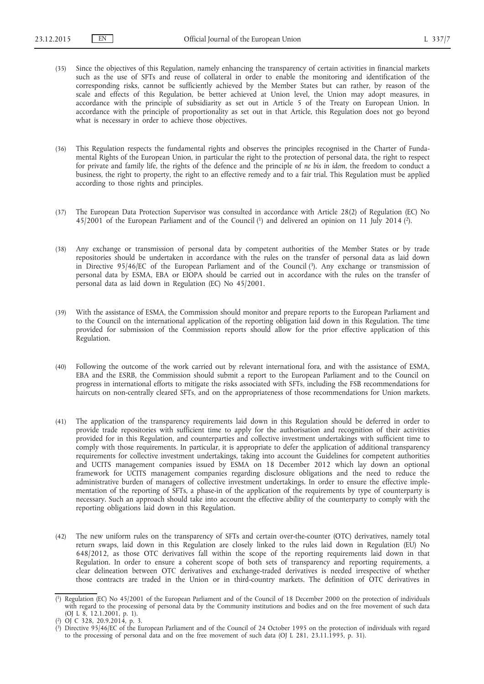- (35) Since the objectives of this Regulation, namely enhancing the transparency of certain activities in financial markets such as the use of SFTs and reuse of collateral in order to enable the monitoring and identification of the corresponding risks, cannot be sufficiently achieved by the Member States but can rather, by reason of the scale and effects of this Regulation, be better achieved at Union level, the Union may adopt measures, in accordance with the principle of subsidiarity as set out in Article 5 of the Treaty on European Union. In accordance with the principle of proportionality as set out in that Article, this Regulation does not go beyond what is necessary in order to achieve those objectives.
- (36) This Regulation respects the fundamental rights and observes the principles recognised in the Charter of Fundamental Rights of the European Union, in particular the right to the protection of personal data, the right to respect for private and family life, the rights of the defence and the principle of *ne bis in idem*, the freedom to conduct a business, the right to property, the right to an effective remedy and to a fair trial. This Regulation must be applied according to those rights and principles.
- (37) The European Data Protection Supervisor was consulted in accordance with Article 28(2) of Regulation (EC) No 45/2001 of the European Parliament and of the Council (1) and delivered an opinion on 11 July 2014 (2).
- (38) Any exchange or transmission of personal data by competent authorities of the Member States or by trade repositories should be undertaken in accordance with the rules on the transfer of personal data as laid down in Directive 95/46/EC of the European Parliament and of the Council (3). Any exchange or transmission of personal data by ESMA, EBA or EIOPA should be carried out in accordance with the rules on the transfer of personal data as laid down in Regulation (EC) No 45/2001.
- (39) With the assistance of ESMA, the Commission should monitor and prepare reports to the European Parliament and to the Council on the international application of the reporting obligation laid down in this Regulation. The time provided for submission of the Commission reports should allow for the prior effective application of this Regulation.
- (40) Following the outcome of the work carried out by relevant international fora, and with the assistance of ESMA, EBA and the ESRB, the Commission should submit a report to the European Parliament and to the Council on progress in international efforts to mitigate the risks associated with SFTs, including the FSB recommendations for haircuts on non-centrally cleared SFTs, and on the appropriateness of those recommendations for Union markets.
- (41) The application of the transparency requirements laid down in this Regulation should be deferred in order to provide trade repositories with sufficient time to apply for the authorisation and recognition of their activities provided for in this Regulation, and counterparties and collective investment undertakings with sufficient time to comply with those requirements. In particular, it is appropriate to defer the application of additional transparency requirements for collective investment undertakings, taking into account the Guidelines for competent authorities and UCITS management companies issued by ESMA on 18 December 2012 which lay down an optional framework for UCITS management companies regarding disclosure obligations and the need to reduce the administrative burden of managers of collective investment undertakings. In order to ensure the effective implementation of the reporting of SFTs, a phase-in of the application of the requirements by type of counterparty is necessary. Such an approach should take into account the effective ability of the counterparty to comply with the reporting obligations laid down in this Regulation.
- (42) The new uniform rules on the transparency of SFTs and certain over-the-counter (OTC) derivatives, namely total return swaps, laid down in this Regulation are closely linked to the rules laid down in Regulation (EU) No 648/2012, as those OTC derivatives fall within the scope of the reporting requirements laid down in that Regulation. In order to ensure a coherent scope of both sets of transparency and reporting requirements, a clear delineation between OTC derivatives and exchange-traded derivatives is needed irrespective of whether those contracts are traded in the Union or in third-country markets. The definition of OTC derivatives in

<sup>(</sup> 1) Regulation (EC) No 45/2001 of the European Parliament and of the Council of 18 December 2000 on the protection of individuals with regard to the processing of personal data by the Community institutions and bodies and on the free movement of such data (OJ L 8, 12.1.2001, p. 1).

<sup>(</sup> 2) OJ C 328, 20.9.2014, p. 3.

<sup>(</sup> 3) Directive 95/46/EC of the European Parliament and of the Council of 24 October 1995 on the protection of individuals with regard to the processing of personal data and on the free movement of such data (OJ L 281, 23.11.1995, p. 31).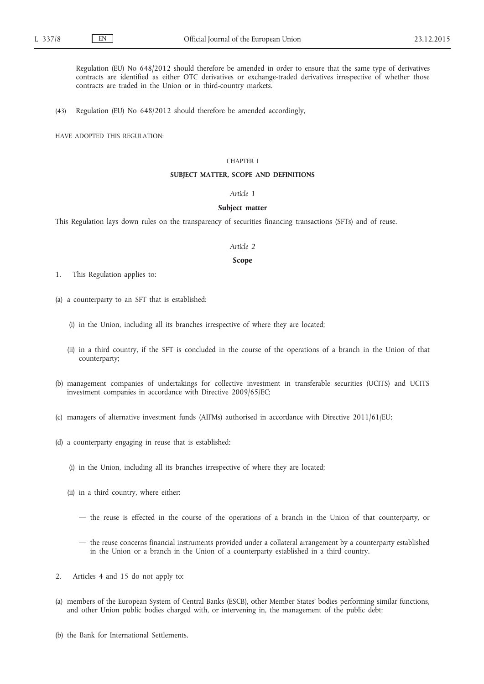Regulation (EU) No 648/2012 should therefore be amended in order to ensure that the same type of derivatives contracts are identified as either OTC derivatives or exchange-traded derivatives irrespective of whether those contracts are traded in the Union or in third-country markets.

(43) Regulation (EU) No 648/2012 should therefore be amended accordingly,

HAVE ADOPTED THIS REGULATION:

### CHAPTER I

### **SUBJECT MATTER, SCOPE AND DEFINITIONS**

### *Article 1*

### **Subject matter**

This Regulation lays down rules on the transparency of securities financing transactions (SFTs) and of reuse.

#### *Article 2*

### **Scope**

1. This Regulation applies to:

- (a) a counterparty to an SFT that is established:
	- (i) in the Union, including all its branches irrespective of where they are located;
	- (ii) in a third country, if the SFT is concluded in the course of the operations of a branch in the Union of that counterparty;
- (b) management companies of undertakings for collective investment in transferable securities (UCITS) and UCITS investment companies in accordance with Directive 2009/65/EC;
- (c) managers of alternative investment funds (AIFMs) authorised in accordance with Directive 2011/61/EU;
- (d) a counterparty engaging in reuse that is established:
	- (i) in the Union, including all its branches irrespective of where they are located;
	- (ii) in a third country, where either:
		- the reuse is effected in the course of the operations of a branch in the Union of that counterparty, or
		- the reuse concerns financial instruments provided under a collateral arrangement by a counterparty established in the Union or a branch in the Union of a counterparty established in a third country.
- 2. Articles 4 and 15 do not apply to:
- (a) members of the European System of Central Banks (ESCB), other Member States' bodies performing similar functions, and other Union public bodies charged with, or intervening in, the management of the public debt;
- (b) the Bank for International Settlements.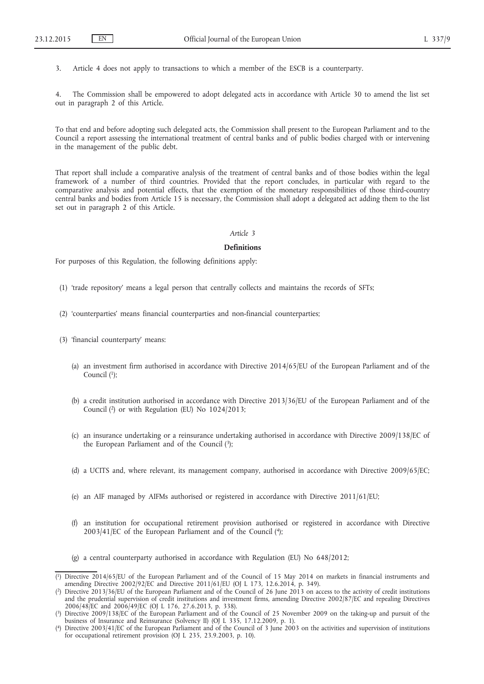3. Article 4 does not apply to transactions to which a member of the ESCB is a counterparty.

4. The Commission shall be empowered to adopt delegated acts in accordance with Article 30 to amend the list set out in paragraph 2 of this Article.

To that end and before adopting such delegated acts, the Commission shall present to the European Parliament and to the Council a report assessing the international treatment of central banks and of public bodies charged with or intervening in the management of the public debt.

That report shall include a comparative analysis of the treatment of central banks and of those bodies within the legal framework of a number of third countries. Provided that the report concludes, in particular with regard to the comparative analysis and potential effects, that the exemption of the monetary responsibilities of those third-country central banks and bodies from Article 15 is necessary, the Commission shall adopt a delegated act adding them to the list set out in paragraph 2 of this Article.

#### *Article 3*

### **Definitions**

For purposes of this Regulation, the following definitions apply:

- (1) 'trade repository' means a legal person that centrally collects and maintains the records of SFTs;
- (2) 'counterparties' means financial counterparties and non-financial counterparties;
- (3) 'financial counterparty' means:
	- (a) an investment firm authorised in accordance with Directive 2014/65/EU of the European Parliament and of the Council  $(1)$ ;
	- (b) a credit institution authorised in accordance with Directive 2013/36/EU of the European Parliament and of the Council (2) or with Regulation (EU) No 1024/2013;
	- (c) an insurance undertaking or a reinsurance undertaking authorised in accordance with Directive 2009/138/EC of the European Parliament and of the Council  $(3)$ ;
	- (d) a UCITS and, where relevant, its management company, authorised in accordance with Directive 2009/65/EC;
	- (e) an AIF managed by AIFMs authorised or registered in accordance with Directive 2011/61/EU;
	- (f) an institution for occupational retirement provision authorised or registered in accordance with Directive 2003/41/EC of the European Parliament and of the Council (4);

(g) a central counterparty authorised in accordance with Regulation (EU) No 648/2012;

<sup>(</sup> 1) Directive 2014/65/EU of the European Parliament and of the Council of 15 May 2014 on markets in financial instruments and amending Directive 2002/92/EC and Directive 2011/61/EU (OJ L 173, 12.6.2014, p. 349).

<sup>(</sup> 2) Directive 2013/36/EU of the European Parliament and of the Council of 26 June 2013 on access to the activity of credit institutions and the prudential supervision of credit institutions and investment firms, amending Directive 2002/87/EC and repealing Directives 2006/48/EC and 2006/49/EC (OJ L 176, 27.6.2013, p. 338).

<sup>(</sup> 3) Directive 2009/138/EC of the European Parliament and of the Council of 25 November 2009 on the taking-up and pursuit of the business of Insurance and Reinsurance (Solvency II) (OJ L 335, 17.12.2009, p. 1).

<sup>(</sup> 4) Directive 2003/41/EC of the European Parliament and of the Council of 3 June 2003 on the activities and supervision of institutions for occupational retirement provision (OJ L 235, 23.9.2003, p. 10).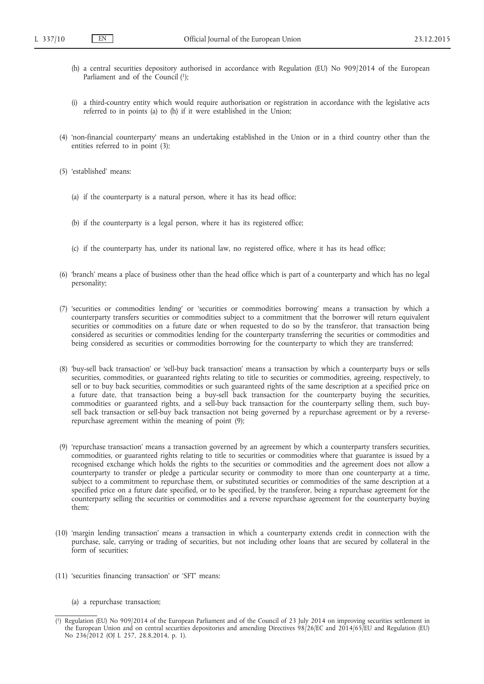- (h) a central securities depository authorised in accordance with Regulation (EU) No 909/2014 of the European Parliament and of the Council (1);
- (i) a third-country entity which would require authorisation or registration in accordance with the legislative acts referred to in points (a) to (h) if it were established in the Union;
- (4) 'non-financial counterparty' means an undertaking established in the Union or in a third country other than the entities referred to in point (3);
- (5) 'established' means:
	- (a) if the counterparty is a natural person, where it has its head office;
	- (b) if the counterparty is a legal person, where it has its registered office;
	- (c) if the counterparty has, under its national law, no registered office, where it has its head office;
- (6) 'branch' means a place of business other than the head office which is part of a counterparty and which has no legal personality;
- (7) 'securities or commodities lending' or 'securities or commodities borrowing' means a transaction by which a counterparty transfers securities or commodities subject to a commitment that the borrower will return equivalent securities or commodities on a future date or when requested to do so by the transferor, that transaction being considered as securities or commodities lending for the counterparty transferring the securities or commodities and being considered as securities or commodities borrowing for the counterparty to which they are transferred;
- (8) 'buy-sell back transaction' or 'sell-buy back transaction' means a transaction by which a counterparty buys or sells securities, commodities, or guaranteed rights relating to title to securities or commodities, agreeing, respectively, to sell or to buy back securities, commodities or such guaranteed rights of the same description at a specified price on a future date, that transaction being a buy-sell back transaction for the counterparty buying the securities, commodities or guaranteed rights, and a sell-buy back transaction for the counterparty selling them, such buysell back transaction or sell-buy back transaction not being governed by a repurchase agreement or by a reverserepurchase agreement within the meaning of point (9);
- (9) 'repurchase transaction' means a transaction governed by an agreement by which a counterparty transfers securities, commodities, or guaranteed rights relating to title to securities or commodities where that guarantee is issued by a recognised exchange which holds the rights to the securities or commodities and the agreement does not allow a counterparty to transfer or pledge a particular security or commodity to more than one counterparty at a time, subject to a commitment to repurchase them, or substituted securities or commodities of the same description at a specified price on a future date specified, or to be specified, by the transferor, being a repurchase agreement for the counterparty selling the securities or commodities and a reverse repurchase agreement for the counterparty buying them;
- (10) 'margin lending transaction' means a transaction in which a counterparty extends credit in connection with the purchase, sale, carrying or trading of securities, but not including other loans that are secured by collateral in the form of securities;
- (11) 'securities financing transaction' or 'SFT' means:
	- (a) a repurchase transaction;

<sup>(</sup> 1) Regulation (EU) No 909/2014 of the European Parliament and of the Council of 23 July 2014 on improving securities settlement in the European Union and on central securities depositories and amending Directives 98/26/EC and 2014/65/EU and Regulation (EU) No 236/2012 (OJ L 257, 28.8.2014, p. 1).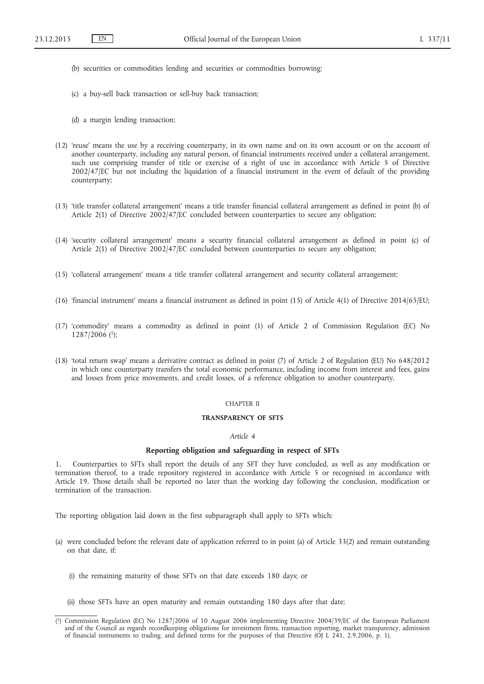- (b) securities or commodities lending and securities or commodities borrowing;
- (c) a buy-sell back transaction or sell-buy back transaction;
- (d) a margin lending transaction;
- (12) 'reuse' means the use by a receiving counterparty, in its own name and on its own account or on the account of another counterparty, including any natural person, of financial instruments received under a collateral arrangement, such use comprising transfer of title or exercise of a right of use in accordance with Article 5 of Directive 2002/47/EC but not including the liquidation of a financial instrument in the event of default of the providing counterparty;
- (13) 'title transfer collateral arrangement' means a title transfer financial collateral arrangement as defined in point (b) of Article 2(1) of Directive 2002/47/EC concluded between counterparties to secure any obligation;
- (14) 'security collateral arrangement' means a security financial collateral arrangement as defined in point (c) of Article 2(1) of Directive 2002/47/EC concluded between counterparties to secure any obligation;
- (15) 'collateral arrangement' means a title transfer collateral arrangement and security collateral arrangement;
- (16) 'financial instrument' means a financial instrument as defined in point (15) of Article 4(1) of Directive 2014/65/EU;
- (17) 'commodity' means a commodity as defined in point (1) of Article 2 of Commission Regulation (EC) No 1287/2006 (1);
- (18) 'total return swap' means a derivative contract as defined in point (7) of Article 2 of Regulation (EU) No 648/2012 in which one counterparty transfers the total economic performance, including income from interest and fees, gains and losses from price movements, and credit losses, of a reference obligation to another counterparty.

#### CHAPTER II

#### **TRANSPARENCY OF SFTS**

### *Article 4*

### **Reporting obligation and safeguarding in respect of SFTs**

1. Counterparties to SFTs shall report the details of any SFT they have concluded, as well as any modification or termination thereof, to a trade repository registered in accordance with Article 5 or recognised in accordance with Article 19. Those details shall be reported no later than the working day following the conclusion, modification or termination of the transaction.

The reporting obligation laid down in the first subparagraph shall apply to SFTs which:

- (a) were concluded before the relevant date of application referred to in point (a) of Article 33(2) and remain outstanding on that date, if:
	- (i) the remaining maturity of those SFTs on that date exceeds 180 days; or
	- (ii) those SFTs have an open maturity and remain outstanding 180 days after that date;

<sup>(</sup> 1) Commission Regulation (EC) No 1287/2006 of 10 August 2006 implementing Directive 2004/39/EC of the European Parliament and of the Council as regards recordkeeping obligations for investment firms, transaction reporting, market transparency, admission of financial instruments to trading, and defined terms for the purposes of that Directive (OJ L 241, 2.9.2006, p. 1).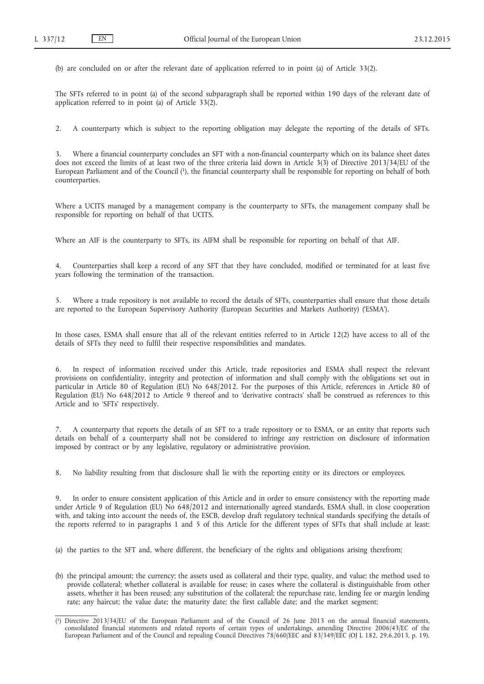(b) are concluded on or after the relevant date of application referred to in point (a) of Article 33(2).

The SFTs referred to in point (a) of the second subparagraph shall be reported within 190 days of the relevant date of application referred to in point (a) of Article 33(2).

2. A counterparty which is subject to the reporting obligation may delegate the reporting of the details of SFTs.

Where a financial counterparty concludes an SFT with a non-financial counterparty which on its balance sheet dates does not exceed the limits of at least two of the three criteria laid down in Article 3(3) of Directive 2013/34/EU of the European Parliament and of the Council (1), the financial counterparty shall be responsible for reporting on behalf of both counterparties.

Where a UCITS managed by a management company is the counterparty to SFTs, the management company shall be responsible for reporting on behalf of that UCITS.

Where an AIF is the counterparty to SFTs, its AIFM shall be responsible for reporting on behalf of that AIF.

4. Counterparties shall keep a record of any SFT that they have concluded, modified or terminated for at least five years following the termination of the transaction.

5. Where a trade repository is not available to record the details of SFTs, counterparties shall ensure that those details are reported to the European Supervisory Authority (European Securities and Markets Authority) ('ESMA').

In those cases, ESMA shall ensure that all of the relevant entities referred to in Article 12(2) have access to all of the details of SFTs they need to fulfil their respective responsibilities and mandates.

6. In respect of information received under this Article, trade repositories and ESMA shall respect the relevant provisions on confidentiality, integrity and protection of information and shall comply with the obligations set out in particular in Article 80 of Regulation (EU) No 648/2012. For the purposes of this Article, references in Article 80 of Regulation (EU) No 648/2012 to Article 9 thereof and to 'derivative contracts' shall be construed as references to this Article and to 'SFTs' respectively.

7. A counterparty that reports the details of an SFT to a trade repository or to ESMA, or an entity that reports such details on behalf of a counterparty shall not be considered to infringe any restriction on disclosure of information imposed by contract or by any legislative, regulatory or administrative provision.

8. No liability resulting from that disclosure shall lie with the reporting entity or its directors or employees.

9. In order to ensure consistent application of this Article and in order to ensure consistency with the reporting made under Article 9 of Regulation (EU) No 648/2012 and internationally agreed standards, ESMA shall, in close cooperation with, and taking into account the needs of, the ESCB, develop draft regulatory technical standards specifying the details of the reports referred to in paragraphs 1 and 5 of this Article for the different types of SFTs that shall include at least:

(a) the parties to the SFT and, where different, the beneficiary of the rights and obligations arising therefrom;

(b) the principal amount; the currency; the assets used as collateral and their type, quality, and value; the method used to provide collateral; whether collateral is available for reuse; in cases where the collateral is distinguishable from other assets, whether it has been reused; any substitution of the collateral; the repurchase rate, lending fee or margin lending rate; any haircut; the value date; the maturity date; the first callable date; and the market segment;

<sup>(</sup> 1) Directive 2013/34/EU of the European Parliament and of the Council of 26 June 2013 on the annual financial statements, consolidated financial statements and related reports of certain types of undertakings, amending Directive 2006/43/EC of the European Parliament and of the Council and repealing Council Directives 78/660/EEC and 83/349/EEC (OJ L 182, 29.6.2013, p. 19).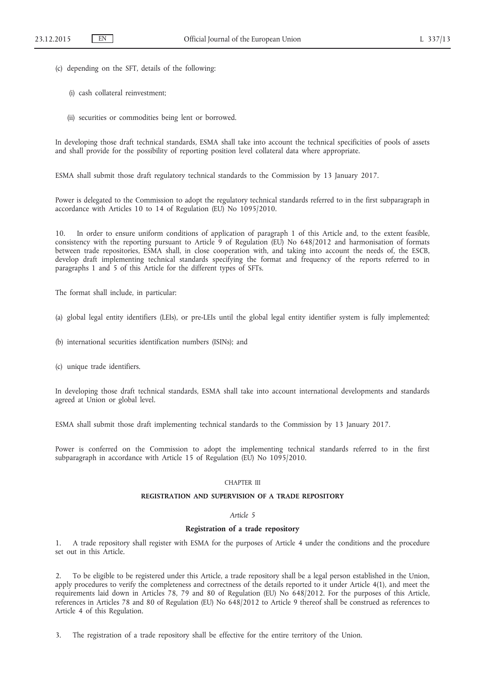- (c) depending on the SFT, details of the following:
	- (i) cash collateral reinvestment;
	- (ii) securities or commodities being lent or borrowed.

In developing those draft technical standards, ESMA shall take into account the technical specificities of pools of assets and shall provide for the possibility of reporting position level collateral data where appropriate.

ESMA shall submit those draft regulatory technical standards to the Commission by 13 January 2017.

Power is delegated to the Commission to adopt the regulatory technical standards referred to in the first subparagraph in accordance with Articles 10 to 14 of Regulation (EU) No 1095/2010.

10. In order to ensure uniform conditions of application of paragraph 1 of this Article and, to the extent feasible, consistency with the reporting pursuant to Article 9 of Regulation (EU) No 648/2012 and harmonisation of formats between trade repositories, ESMA shall, in close cooperation with, and taking into account the needs of, the ESCB, develop draft implementing technical standards specifying the format and frequency of the reports referred to in paragraphs 1 and 5 of this Article for the different types of SFTs.

The format shall include, in particular:

- (a) global legal entity identifiers (LEIs), or pre-LEIs until the global legal entity identifier system is fully implemented;
- (b) international securities identification numbers (ISINs); and
- (c) unique trade identifiers.

In developing those draft technical standards, ESMA shall take into account international developments and standards agreed at Union or global level.

ESMA shall submit those draft implementing technical standards to the Commission by 13 January 2017.

Power is conferred on the Commission to adopt the implementing technical standards referred to in the first subparagraph in accordance with Article 15 of Regulation (EU) No 1095/2010.

#### CHAPTER III

#### **REGISTRATION AND SUPERVISION OF A TRADE REPOSITORY**

### *Article 5*

### **Registration of a trade repository**

1. A trade repository shall register with ESMA for the purposes of Article 4 under the conditions and the procedure set out in this Article.

2. To be eligible to be registered under this Article, a trade repository shall be a legal person established in the Union, apply procedures to verify the completeness and correctness of the details reported to it under Article 4(1), and meet the requirements laid down in Articles 78, 79 and 80 of Regulation (EU) No 648/2012. For the purposes of this Article, references in Articles 78 and 80 of Regulation (EU) No 648/2012 to Article 9 thereof shall be construed as references to Article 4 of this Regulation.

3. The registration of a trade repository shall be effective for the entire territory of the Union.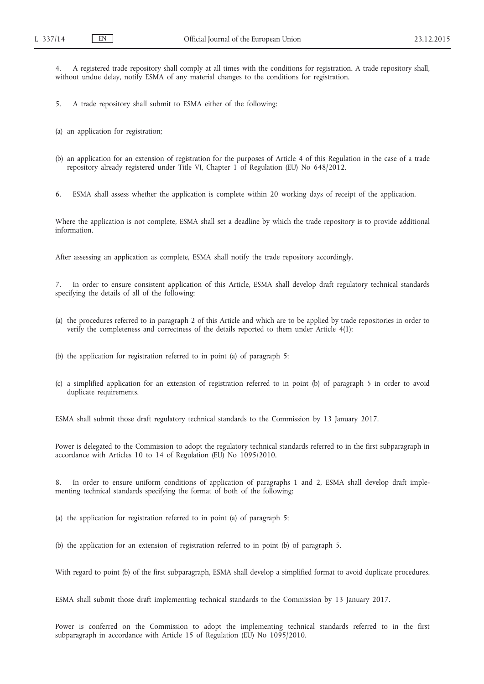4. A registered trade repository shall comply at all times with the conditions for registration. A trade repository shall, without undue delay, notify ESMA of any material changes to the conditions for registration.

5. A trade repository shall submit to ESMA either of the following:

- (a) an application for registration;
- (b) an application for an extension of registration for the purposes of Article 4 of this Regulation in the case of a trade repository already registered under Title VI, Chapter 1 of Regulation (EU) No 648/2012.

6. ESMA shall assess whether the application is complete within 20 working days of receipt of the application.

Where the application is not complete, ESMA shall set a deadline by which the trade repository is to provide additional information.

After assessing an application as complete, ESMA shall notify the trade repository accordingly.

7. In order to ensure consistent application of this Article, ESMA shall develop draft regulatory technical standards specifying the details of all of the following:

- (a) the procedures referred to in paragraph 2 of this Article and which are to be applied by trade repositories in order to verify the completeness and correctness of the details reported to them under Article 4(1);
- (b) the application for registration referred to in point (a) of paragraph 5;
- (c) a simplified application for an extension of registration referred to in point (b) of paragraph 5 in order to avoid duplicate requirements.

ESMA shall submit those draft regulatory technical standards to the Commission by 13 January 2017.

Power is delegated to the Commission to adopt the regulatory technical standards referred to in the first subparagraph in accordance with Articles 10 to 14 of Regulation (EU) No 1095/2010.

In order to ensure uniform conditions of application of paragraphs 1 and 2, ESMA shall develop draft implementing technical standards specifying the format of both of the following:

(a) the application for registration referred to in point (a) of paragraph 5;

(b) the application for an extension of registration referred to in point (b) of paragraph 5.

With regard to point (b) of the first subparagraph, ESMA shall develop a simplified format to avoid duplicate procedures.

ESMA shall submit those draft implementing technical standards to the Commission by 13 January 2017.

Power is conferred on the Commission to adopt the implementing technical standards referred to in the first subparagraph in accordance with Article 15 of Regulation (EU) No 1095/2010.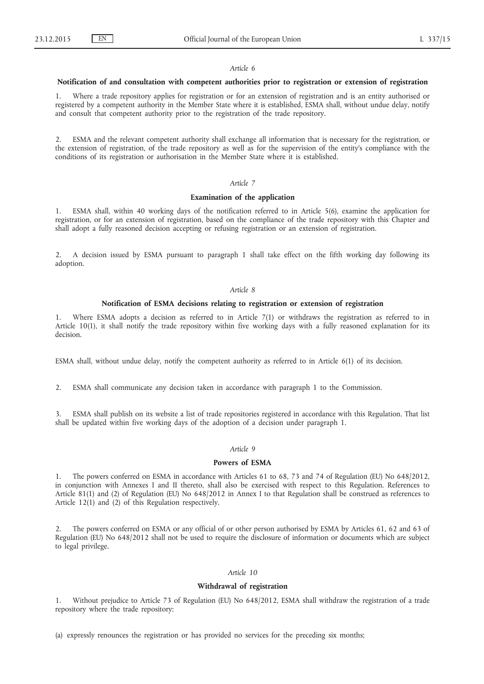#### *Article 6*

### **Notification of and consultation with competent authorities prior to registration or extension of registration**

1. Where a trade repository applies for registration or for an extension of registration and is an entity authorised or registered by a competent authority in the Member State where it is established, ESMA shall, without undue delay, notify and consult that competent authority prior to the registration of the trade repository.

2. ESMA and the relevant competent authority shall exchange all information that is necessary for the registration, or the extension of registration, of the trade repository as well as for the supervision of the entity's compliance with the conditions of its registration or authorisation in the Member State where it is established.

### *Article 7*

#### **Examination of the application**

1. ESMA shall, within 40 working days of the notification referred to in Article 5(6), examine the application for registration, or for an extension of registration, based on the compliance of the trade repository with this Chapter and shall adopt a fully reasoned decision accepting or refusing registration or an extension of registration.

2. A decision issued by ESMA pursuant to paragraph 1 shall take effect on the fifth working day following its adoption.

### *Article 8*

#### **Notification of ESMA decisions relating to registration or extension of registration**

Where ESMA adopts a decision as referred to in Article 7(1) or withdraws the registration as referred to in Article 10(1), it shall notify the trade repository within five working days with a fully reasoned explanation for its decision.

ESMA shall, without undue delay, notify the competent authority as referred to in Article 6(1) of its decision.

2. ESMA shall communicate any decision taken in accordance with paragraph 1 to the Commission.

3. ESMA shall publish on its website a list of trade repositories registered in accordance with this Regulation. That list shall be updated within five working days of the adoption of a decision under paragraph 1.

### *Article 9*

#### **Powers of ESMA**

1. The powers conferred on ESMA in accordance with Articles 61 to 68, 73 and 74 of Regulation (EU) No 648/2012, in conjunction with Annexes I and II thereto, shall also be exercised with respect to this Regulation. References to Article 81(1) and (2) of Regulation (EU) No 648/2012 in Annex I to that Regulation shall be construed as references to Article 12(1) and (2) of this Regulation respectively.

2. The powers conferred on ESMA or any official of or other person authorised by ESMA by Articles 61, 62 and 63 of Regulation (EU) No 648/2012 shall not be used to require the disclosure of information or documents which are subject to legal privilege.

### *Article 10*

### **Withdrawal of registration**

1. Without prejudice to Article 73 of Regulation (EU) No 648/2012, ESMA shall withdraw the registration of a trade repository where the trade repository:

(a) expressly renounces the registration or has provided no services for the preceding six months;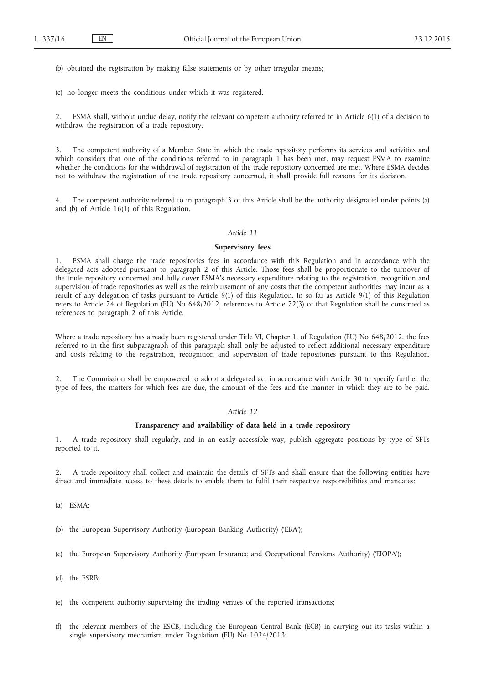(b) obtained the registration by making false statements or by other irregular means;

(c) no longer meets the conditions under which it was registered.

2. ESMA shall, without undue delay, notify the relevant competent authority referred to in Article 6(1) of a decision to withdraw the registration of a trade repository.

3. The competent authority of a Member State in which the trade repository performs its services and activities and which considers that one of the conditions referred to in paragraph 1 has been met, may request ESMA to examine whether the conditions for the withdrawal of registration of the trade repository concerned are met. Where ESMA decides not to withdraw the registration of the trade repository concerned, it shall provide full reasons for its decision.

4. The competent authority referred to in paragraph 3 of this Article shall be the authority designated under points (a) and (b) of Article 16(1) of this Regulation.

### *Article 11*

### **Supervisory fees**

1. ESMA shall charge the trade repositories fees in accordance with this Regulation and in accordance with the delegated acts adopted pursuant to paragraph 2 of this Article. Those fees shall be proportionate to the turnover of the trade repository concerned and fully cover ESMA's necessary expenditure relating to the registration, recognition and supervision of trade repositories as well as the reimbursement of any costs that the competent authorities may incur as a result of any delegation of tasks pursuant to Article 9(1) of this Regulation. In so far as Article 9(1) of this Regulation refers to Article 74 of Regulation (EU) No 648/2012, references to Article 72(3) of that Regulation shall be construed as references to paragraph 2 of this Article.

Where a trade repository has already been registered under Title VI, Chapter 1, of Regulation (EU) No 648/2012, the fees referred to in the first subparagraph of this paragraph shall only be adjusted to reflect additional necessary expenditure and costs relating to the registration, recognition and supervision of trade repositories pursuant to this Regulation.

2. The Commission shall be empowered to adopt a delegated act in accordance with Article 30 to specify further the type of fees, the matters for which fees are due, the amount of the fees and the manner in which they are to be paid.

### *Article 12*

### **Transparency and availability of data held in a trade repository**

1. A trade repository shall regularly, and in an easily accessible way, publish aggregate positions by type of SFTs reported to it.

2. A trade repository shall collect and maintain the details of SFTs and shall ensure that the following entities have direct and immediate access to these details to enable them to fulfil their respective responsibilities and mandates:

- (a) ESMA;
- (b) the European Supervisory Authority (European Banking Authority) ('EBA');
- (c) the European Supervisory Authority (European Insurance and Occupational Pensions Authority) ('EIOPA');
- (d) the ESRB;
- (e) the competent authority supervising the trading venues of the reported transactions;
- (f) the relevant members of the ESCB, including the European Central Bank (ECB) in carrying out its tasks within a single supervisory mechanism under Regulation (EU) No 1024/2013;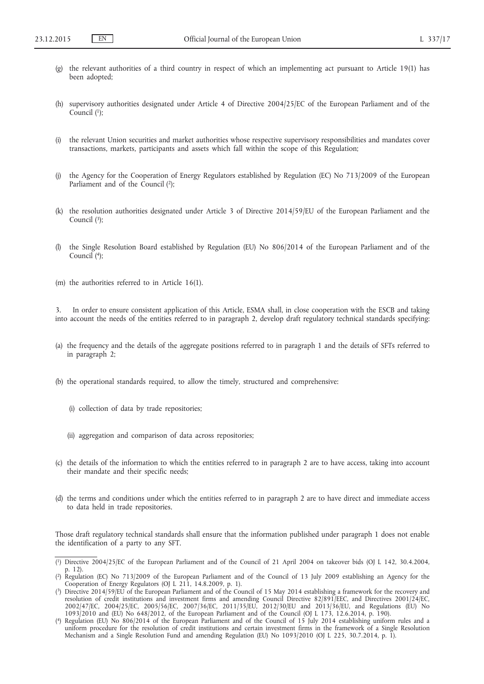- (g) the relevant authorities of a third country in respect of which an implementing act pursuant to Article 19(1) has been adopted;
- (h) supervisory authorities designated under Article 4 of Directive 2004/25/EC of the European Parliament and of the Council  $(1)$ ;
- (i) the relevant Union securities and market authorities whose respective supervisory responsibilities and mandates cover transactions, markets, participants and assets which fall within the scope of this Regulation;
- (j) the Agency for the Cooperation of Energy Regulators established by Regulation (EC) No 713/2009 of the European Parliament and of the Council  $(2)$ ;
- (k) the resolution authorities designated under Article 3 of Directive 2014/59/EU of the European Parliament and the Council  $(3)$ :
- (l) the Single Resolution Board established by Regulation (EU) No 806/2014 of the European Parliament and of the Council (4);
- (m) the authorities referred to in Article 16(1).

In order to ensure consistent application of this Article, ESMA shall, in close cooperation with the ESCB and taking into account the needs of the entities referred to in paragraph 2, develop draft regulatory technical standards specifying:

- (a) the frequency and the details of the aggregate positions referred to in paragraph 1 and the details of SFTs referred to in paragraph 2;
- (b) the operational standards required, to allow the timely, structured and comprehensive:
	- (i) collection of data by trade repositories;
	- (ii) aggregation and comparison of data across repositories;
- (c) the details of the information to which the entities referred to in paragraph 2 are to have access, taking into account their mandate and their specific needs;
- (d) the terms and conditions under which the entities referred to in paragraph 2 are to have direct and immediate access to data held in trade repositories.

Those draft regulatory technical standards shall ensure that the information published under paragraph 1 does not enable the identification of a party to any SFT.

<sup>(</sup> 1) Directive 2004/25/EC of the European Parliament and of the Council of 21 April 2004 on takeover bids (OJ L 142, 30.4.2004, p. 12).

<sup>(</sup> 2) Regulation (EC) No 713/2009 of the European Parliament and of the Council of 13 July 2009 establishing an Agency for the Cooperation of Energy Regulators (OJ L 211, 14.8.2009, p. 1).

<sup>(</sup> 3) Directive 2014/59/EU of the European Parliament and of the Council of 15 May 2014 establishing a framework for the recovery and resolution of credit institutions and investment firms and amending Council Directive 82/891/EEC, and Directives 2001/24/EC, 2002/47/EC, 2004/25/EC, 2005/56/EC, 2007/36/EC, 2011/35/EU, 2012/30/EU and 2013/36/EU, and Regulations (EU) No 1093/2010 and (EU) No 648/2012, of the European Parliament and of the Council (OJ L 173, 12.6.2014, p. 190).

<sup>(</sup> 4) Regulation (EU) No 806/2014 of the European Parliament and of the Council of 15 July 2014 establishing uniform rules and a uniform procedure for the resolution of credit institutions and certain investment firms in the framework of a Single Resolution Mechanism and a Single Resolution Fund and amending Regulation (EU) No 1093/2010 (OJ L 225, 30.7.2014, p. 1).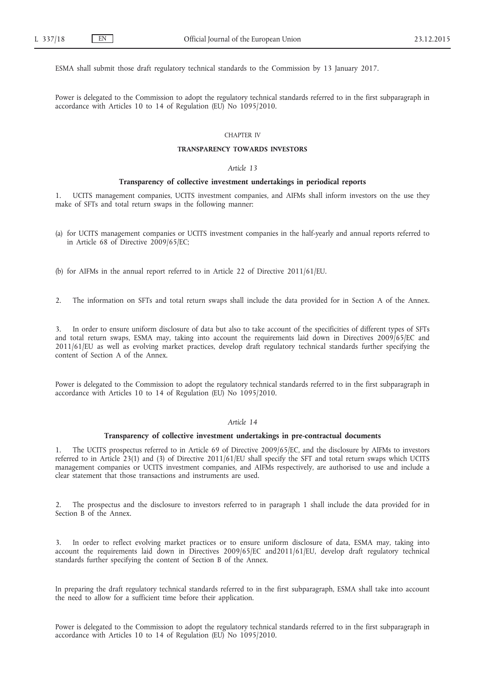ESMA shall submit those draft regulatory technical standards to the Commission by 13 January 2017.

Power is delegated to the Commission to adopt the regulatory technical standards referred to in the first subparagraph in accordance with Articles 10 to 14 of Regulation (EU) No 1095/2010.

### CHAPTER IV

### **TRANSPARENCY TOWARDS INVESTORS**

### *Article 13*

### **Transparency of collective investment undertakings in periodical reports**

1. UCITS management companies, UCITS investment companies, and AIFMs shall inform investors on the use they make of SFTs and total return swaps in the following manner:

(a) for UCITS management companies or UCITS investment companies in the half-yearly and annual reports referred to in Article 68 of Directive 2009/65/EC;

(b) for AIFMs in the annual report referred to in Article 22 of Directive 2011/61/EU.

2. The information on SFTs and total return swaps shall include the data provided for in Section A of the Annex.

3. In order to ensure uniform disclosure of data but also to take account of the specificities of different types of SFTs and total return swaps, ESMA may, taking into account the requirements laid down in Directives 2009/65/EC and 2011/61/EU as well as evolving market practices, develop draft regulatory technical standards further specifying the content of Section A of the Annex.

Power is delegated to the Commission to adopt the regulatory technical standards referred to in the first subparagraph in accordance with Articles 10 to 14 of Regulation (EU) No 1095/2010.

### *Article 14*

### **Transparency of collective investment undertakings in pre-contractual documents**

1. The UCITS prospectus referred to in Article 69 of Directive 2009/65/EC, and the disclosure by AIFMs to investors referred to in Article 23(1) and (3) of Directive 2011/61/EU shall specify the SFT and total return swaps which UCITS management companies or UCITS investment companies, and AIFMs respectively, are authorised to use and include a clear statement that those transactions and instruments are used.

2. The prospectus and the disclosure to investors referred to in paragraph 1 shall include the data provided for in Section B of the Annex.

3. In order to reflect evolving market practices or to ensure uniform disclosure of data, ESMA may, taking into account the requirements laid down in Directives 2009/65/EC and2011/61/EU, develop draft regulatory technical standards further specifying the content of Section B of the Annex.

In preparing the draft regulatory technical standards referred to in the first subparagraph, ESMA shall take into account the need to allow for a sufficient time before their application.

Power is delegated to the Commission to adopt the regulatory technical standards referred to in the first subparagraph in accordance with Articles 10 to 14 of Regulation (EU) No 1095/2010.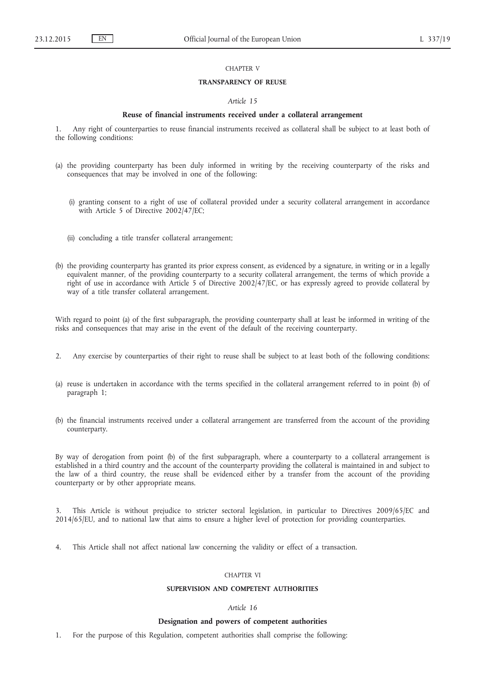### CHAPTER V

### **TRANSPARENCY OF REUSE**

### *Article 15*

### **Reuse of financial instruments received under a collateral arrangement**

1. Any right of counterparties to reuse financial instruments received as collateral shall be subject to at least both of the following conditions:

- (a) the providing counterparty has been duly informed in writing by the receiving counterparty of the risks and consequences that may be involved in one of the following:
	- (i) granting consent to a right of use of collateral provided under a security collateral arrangement in accordance with Article 5 of Directive 2002/47/EC;
	- (ii) concluding a title transfer collateral arrangement;
- (b) the providing counterparty has granted its prior express consent, as evidenced by a signature, in writing or in a legally equivalent manner, of the providing counterparty to a security collateral arrangement, the terms of which provide a right of use in accordance with Article 5 of Directive 2002/47/EC, or has expressly agreed to provide collateral by way of a title transfer collateral arrangement.

With regard to point (a) of the first subparagraph, the providing counterparty shall at least be informed in writing of the risks and consequences that may arise in the event of the default of the receiving counterparty.

- 2. Any exercise by counterparties of their right to reuse shall be subject to at least both of the following conditions:
- (a) reuse is undertaken in accordance with the terms specified in the collateral arrangement referred to in point (b) of paragraph 1;
- (b) the financial instruments received under a collateral arrangement are transferred from the account of the providing counterparty.

By way of derogation from point (b) of the first subparagraph, where a counterparty to a collateral arrangement is established in a third country and the account of the counterparty providing the collateral is maintained in and subject to the law of a third country, the reuse shall be evidenced either by a transfer from the account of the providing counterparty or by other appropriate means.

3. This Article is without prejudice to stricter sectoral legislation, in particular to Directives 2009/65/EC and 2014/65/EU, and to national law that aims to ensure a higher level of protection for providing counterparties.

4. This Article shall not affect national law concerning the validity or effect of a transaction.

### CHAPTER VI

### **SUPERVISION AND COMPETENT AUTHORITIES**

### *Article 16*

#### **Designation and powers of competent authorities**

1. For the purpose of this Regulation, competent authorities shall comprise the following: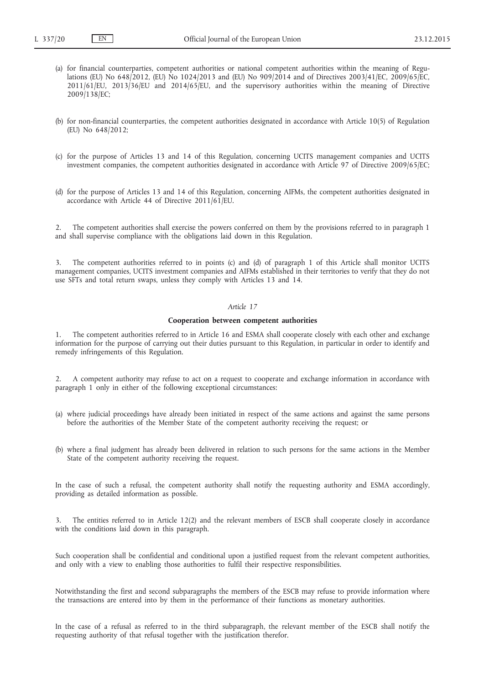- (a) for financial counterparties, competent authorities or national competent authorities within the meaning of Regulations (EU) No 648/2012, (EU) No 1024/2013 and (EU) No 909/2014 and of Directives 2003/41/EC, 2009/65/EC, 2011/61/EU, 2013/36/EU and 2014/65/EU, and the supervisory authorities within the meaning of Directive 2009/138/EC;
- (b) for non-financial counterparties, the competent authorities designated in accordance with Article 10(5) of Regulation (EU) No 648/2012;
- (c) for the purpose of Articles 13 and 14 of this Regulation, concerning UCITS management companies and UCITS investment companies, the competent authorities designated in accordance with Article 97 of Directive 2009/65/EC;
- (d) for the purpose of Articles 13 and 14 of this Regulation, concerning AIFMs, the competent authorities designated in accordance with Article 44 of Directive 2011/61/EU.

2. The competent authorities shall exercise the powers conferred on them by the provisions referred to in paragraph 1 and shall supervise compliance with the obligations laid down in this Regulation.

3. The competent authorities referred to in points (c) and (d) of paragraph 1 of this Article shall monitor UCITS management companies, UCITS investment companies and AIFMs established in their territories to verify that they do not use SFTs and total return swaps, unless they comply with Articles 13 and 14.

### *Article 17*

#### **Cooperation between competent authorities**

1. The competent authorities referred to in Article 16 and ESMA shall cooperate closely with each other and exchange information for the purpose of carrying out their duties pursuant to this Regulation, in particular in order to identify and remedy infringements of this Regulation.

2. A competent authority may refuse to act on a request to cooperate and exchange information in accordance with paragraph 1 only in either of the following exceptional circumstances:

- (a) where judicial proceedings have already been initiated in respect of the same actions and against the same persons before the authorities of the Member State of the competent authority receiving the request; or
- (b) where a final judgment has already been delivered in relation to such persons for the same actions in the Member State of the competent authority receiving the request.

In the case of such a refusal, the competent authority shall notify the requesting authority and ESMA accordingly, providing as detailed information as possible.

3. The entities referred to in Article 12(2) and the relevant members of ESCB shall cooperate closely in accordance with the conditions laid down in this paragraph.

Such cooperation shall be confidential and conditional upon a justified request from the relevant competent authorities, and only with a view to enabling those authorities to fulfil their respective responsibilities.

Notwithstanding the first and second subparagraphs the members of the ESCB may refuse to provide information where the transactions are entered into by them in the performance of their functions as monetary authorities.

In the case of a refusal as referred to in the third subparagraph, the relevant member of the ESCB shall notify the requesting authority of that refusal together with the justification therefor.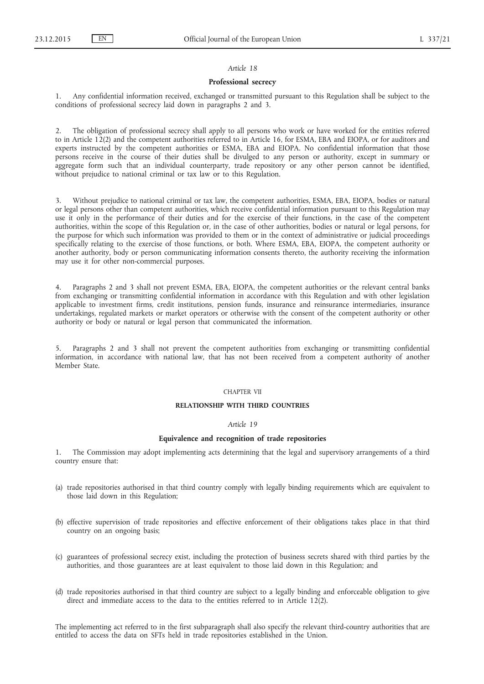### *Article 18*

### **Professional secrecy**

1. Any confidential information received, exchanged or transmitted pursuant to this Regulation shall be subject to the conditions of professional secrecy laid down in paragraphs 2 and 3.

The obligation of professional secrecy shall apply to all persons who work or have worked for the entities referred to in Article 12(2) and the competent authorities referred to in Article 16, for ESMA, EBA and EIOPA, or for auditors and experts instructed by the competent authorities or ESMA, EBA and EIOPA. No confidential information that those persons receive in the course of their duties shall be divulged to any person or authority, except in summary or aggregate form such that an individual counterparty, trade repository or any other person cannot be identified, without prejudice to national criminal or tax law or to this Regulation.

3. Without prejudice to national criminal or tax law, the competent authorities, ESMA, EBA, EIOPA, bodies or natural or legal persons other than competent authorities, which receive confidential information pursuant to this Regulation may use it only in the performance of their duties and for the exercise of their functions, in the case of the competent authorities, within the scope of this Regulation or, in the case of other authorities, bodies or natural or legal persons, for the purpose for which such information was provided to them or in the context of administrative or judicial proceedings specifically relating to the exercise of those functions, or both. Where ESMA, EBA, EIOPA, the competent authority or another authority, body or person communicating information consents thereto, the authority receiving the information may use it for other non-commercial purposes.

4. Paragraphs 2 and 3 shall not prevent ESMA, EBA, EIOPA, the competent authorities or the relevant central banks from exchanging or transmitting confidential information in accordance with this Regulation and with other legislation applicable to investment firms, credit institutions, pension funds, insurance and reinsurance intermediaries, insurance undertakings, regulated markets or market operators or otherwise with the consent of the competent authority or other authority or body or natural or legal person that communicated the information.

5. Paragraphs 2 and 3 shall not prevent the competent authorities from exchanging or transmitting confidential information, in accordance with national law, that has not been received from a competent authority of another Member State.

#### CHAPTER VII

### **RELATIONSHIP WITH THIRD COUNTRIES**

### *Article 19*

# **Equivalence and recognition of trade repositories**

1. The Commission may adopt implementing acts determining that the legal and supervisory arrangements of a third country ensure that:

- (a) trade repositories authorised in that third country comply with legally binding requirements which are equivalent to those laid down in this Regulation;
- (b) effective supervision of trade repositories and effective enforcement of their obligations takes place in that third country on an ongoing basis;
- (c) guarantees of professional secrecy exist, including the protection of business secrets shared with third parties by the authorities, and those guarantees are at least equivalent to those laid down in this Regulation; and
- (d) trade repositories authorised in that third country are subject to a legally binding and enforceable obligation to give direct and immediate access to the data to the entities referred to in Article 12(2).

The implementing act referred to in the first subparagraph shall also specify the relevant third-country authorities that are entitled to access the data on SFTs held in trade repositories established in the Union.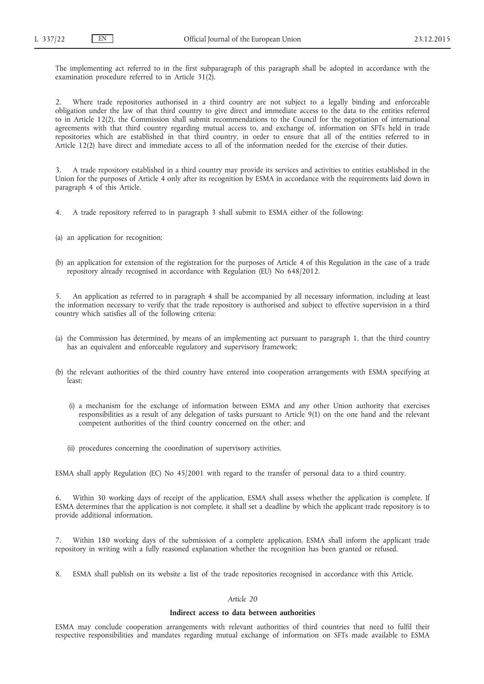The implementing act referred to in the first subparagraph of this paragraph shall be adopted in accordance with the examination procedure referred to in Article 31(2).

2. Where trade repositories authorised in a third country are not subject to a legally binding and enforceable obligation under the law of that third country to give direct and immediate access to the data to the entities referred to in Article 12(2), the Commission shall submit recommendations to the Council for the negotiation of international agreements with that third country regarding mutual access to, and exchange of, information on SFTs held in trade repositories which are established in that third country, in order to ensure that all of the entities referred to in Article 12(2) have direct and immediate access to all of the information needed for the exercise of their duties.

3. A trade repository established in a third country may provide its services and activities to entities established in the Union for the purposes of Article 4 only after its recognition by ESMA in accordance with the requirements laid down in paragraph 4 of this Article.

- 4. A trade repository referred to in paragraph 3 shall submit to ESMA either of the following:
- (a) an application for recognition;
- (b) an application for extension of the registration for the purposes of Article 4 of this Regulation in the case of a trade repository already recognised in accordance with Regulation (EU) No 648/2012.

5. An application as referred to in paragraph 4 shall be accompanied by all necessary information, including at least the information necessary to verify that the trade repository is authorised and subject to effective supervision in a third country which satisfies all of the following criteria:

- (a) the Commission has determined, by means of an implementing act pursuant to paragraph 1, that the third country has an equivalent and enforceable regulatory and supervisory framework;
- (b) the relevant authorities of the third country have entered into cooperation arrangements with ESMA specifying at least:
	- (i) a mechanism for the exchange of information between ESMA and any other Union authority that exercises responsibilities as a result of any delegation of tasks pursuant to Article 9(1) on the one hand and the relevant competent authorities of the third country concerned on the other; and
	- (ii) procedures concerning the coordination of supervisory activities.

ESMA shall apply Regulation (EC) No 45/2001 with regard to the transfer of personal data to a third country.

Within 30 working days of receipt of the application, ESMA shall assess whether the application is complete. If ESMA determines that the application is not complete, it shall set a deadline by which the applicant trade repository is to provide additional information.

7. Within 180 working days of the submission of a complete application, ESMA shall inform the applicant trade repository in writing with a fully reasoned explanation whether the recognition has been granted or refused.

8. ESMA shall publish on its website a list of the trade repositories recognised in accordance with this Article.

# *Article 20*

### **Indirect access to data between authorities**

ESMA may conclude cooperation arrangements with relevant authorities of third countries that need to fulfil their respective responsibilities and mandates regarding mutual exchange of information on SFTs made available to ESMA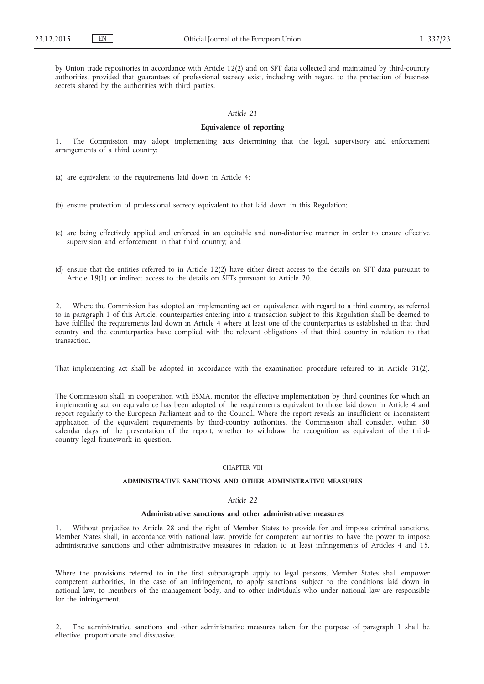by Union trade repositories in accordance with Article 12(2) and on SFT data collected and maintained by third-country authorities, provided that guarantees of professional secrecy exist, including with regard to the protection of business secrets shared by the authorities with third parties.

### *Article 21*

#### **Equivalence of reporting**

1. The Commission may adopt implementing acts determining that the legal, supervisory and enforcement arrangements of a third country:

(a) are equivalent to the requirements laid down in Article 4;

- (b) ensure protection of professional secrecy equivalent to that laid down in this Regulation;
- (c) are being effectively applied and enforced in an equitable and non-distortive manner in order to ensure effective supervision and enforcement in that third country; and
- (d) ensure that the entities referred to in Article 12(2) have either direct access to the details on SFT data pursuant to Article 19(1) or indirect access to the details on SFTs pursuant to Article 20.

2. Where the Commission has adopted an implementing act on equivalence with regard to a third country, as referred to in paragraph 1 of this Article, counterparties entering into a transaction subject to this Regulation shall be deemed to have fulfilled the requirements laid down in Article 4 where at least one of the counterparties is established in that third country and the counterparties have complied with the relevant obligations of that third country in relation to that transaction.

That implementing act shall be adopted in accordance with the examination procedure referred to in Article 31(2).

The Commission shall, in cooperation with ESMA, monitor the effective implementation by third countries for which an implementing act on equivalence has been adopted of the requirements equivalent to those laid down in Article 4 and report regularly to the European Parliament and to the Council. Where the report reveals an insufficient or inconsistent application of the equivalent requirements by third-country authorities, the Commission shall consider, within 30 calendar days of the presentation of the report, whether to withdraw the recognition as equivalent of the thirdcountry legal framework in question.

### CHAPTER VIII

### **ADMINISTRATIVE SANCTIONS AND OTHER ADMINISTRATIVE MEASURES**

#### *Article 22*

### **Administrative sanctions and other administrative measures**

Without prejudice to Article 28 and the right of Member States to provide for and impose criminal sanctions, Member States shall, in accordance with national law, provide for competent authorities to have the power to impose administrative sanctions and other administrative measures in relation to at least infringements of Articles 4 and 15.

Where the provisions referred to in the first subparagraph apply to legal persons, Member States shall empower competent authorities, in the case of an infringement, to apply sanctions, subject to the conditions laid down in national law, to members of the management body, and to other individuals who under national law are responsible for the infringement.

2. The administrative sanctions and other administrative measures taken for the purpose of paragraph 1 shall be effective, proportionate and dissuasive.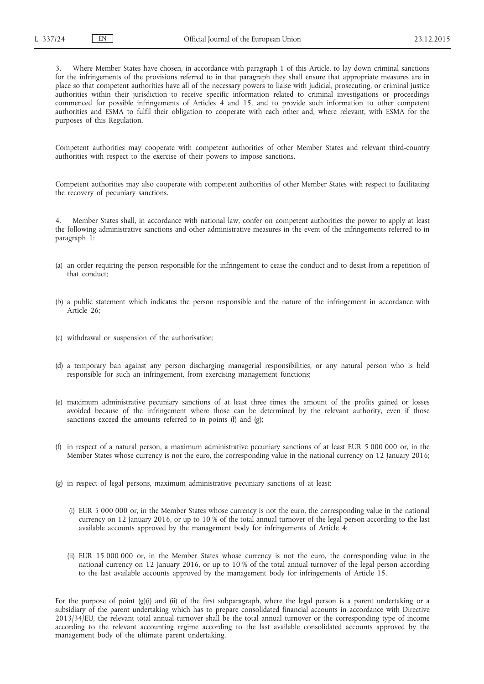3. Where Member States have chosen, in accordance with paragraph 1 of this Article, to lay down criminal sanctions for the infringements of the provisions referred to in that paragraph they shall ensure that appropriate measures are in place so that competent authorities have all of the necessary powers to liaise with judicial, prosecuting, or criminal justice authorities within their jurisdiction to receive specific information related to criminal investigations or proceedings commenced for possible infringements of Articles 4 and 15, and to provide such information to other competent authorities and ESMA to fulfil their obligation to cooperate with each other and, where relevant, with ESMA for the purposes of this Regulation.

Competent authorities may cooperate with competent authorities of other Member States and relevant third-country authorities with respect to the exercise of their powers to impose sanctions.

Competent authorities may also cooperate with competent authorities of other Member States with respect to facilitating the recovery of pecuniary sanctions.

Member States shall, in accordance with national law, confer on competent authorities the power to apply at least the following administrative sanctions and other administrative measures in the event of the infringements referred to in paragraph 1:

- (a) an order requiring the person responsible for the infringement to cease the conduct and to desist from a repetition of that conduct;
- (b) a public statement which indicates the person responsible and the nature of the infringement in accordance with Article 26;
- (c) withdrawal or suspension of the authorisation;
- (d) a temporary ban against any person discharging managerial responsibilities, or any natural person who is held responsible for such an infringement, from exercising management functions;
- (e) maximum administrative pecuniary sanctions of at least three times the amount of the profits gained or losses avoided because of the infringement where those can be determined by the relevant authority, even if those sanctions exceed the amounts referred to in points (f) and (g);
- (f) in respect of a natural person, a maximum administrative pecuniary sanctions of at least EUR 5 000 000 or, in the Member States whose currency is not the euro, the corresponding value in the national currency on 12 January 2016;
- (g) in respect of legal persons, maximum administrative pecuniary sanctions of at least:
	- (i) EUR 5 000 000 or, in the Member States whose currency is not the euro, the corresponding value in the national currency on 12 January 2016, or up to 10 % of the total annual turnover of the legal person according to the last available accounts approved by the management body for infringements of Article 4;
	- (ii) EUR 15 000 000 or, in the Member States whose currency is not the euro, the corresponding value in the national currency on 12 January 2016, or up to 10 % of the total annual turnover of the legal person according to the last available accounts approved by the management body for infringements of Article 15.

For the purpose of point (g)(i) and (ii) of the first subparagraph, where the legal person is a parent undertaking or a subsidiary of the parent undertaking which has to prepare consolidated financial accounts in accordance with Directive 2013/34/EU, the relevant total annual turnover shall be the total annual turnover or the corresponding type of income according to the relevant accounting regime according to the last available consolidated accounts approved by the management body of the ultimate parent undertaking.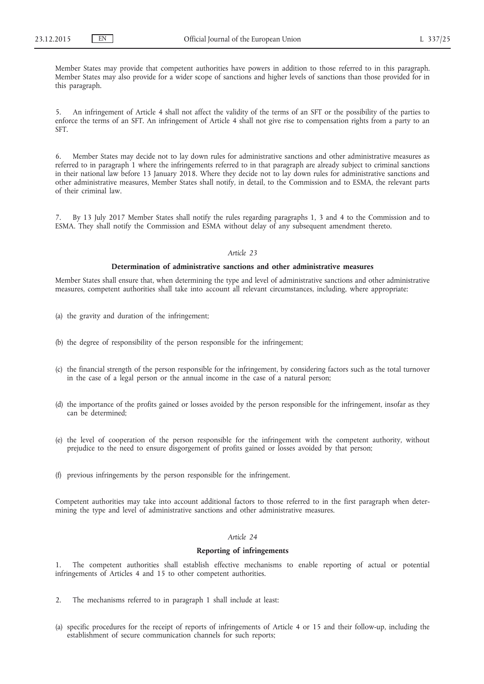Member States may provide that competent authorities have powers in addition to those referred to in this paragraph. Member States may also provide for a wider scope of sanctions and higher levels of sanctions than those provided for in this paragraph.

5. An infringement of Article 4 shall not affect the validity of the terms of an SFT or the possibility of the parties to enforce the terms of an SFT. An infringement of Article 4 shall not give rise to compensation rights from a party to an SFT.

6. Member States may decide not to lay down rules for administrative sanctions and other administrative measures as referred to in paragraph 1 where the infringements referred to in that paragraph are already subject to criminal sanctions in their national law before 13 January 2018. Where they decide not to lay down rules for administrative sanctions and other administrative measures, Member States shall notify, in detail, to the Commission and to ESMA, the relevant parts of their criminal law.

7. By 13 July 2017 Member States shall notify the rules regarding paragraphs 1, 3 and 4 to the Commission and to ESMA. They shall notify the Commission and ESMA without delay of any subsequent amendment thereto.

### *Article 23*

### **Determination of administrative sanctions and other administrative measures**

Member States shall ensure that, when determining the type and level of administrative sanctions and other administrative measures, competent authorities shall take into account all relevant circumstances, including, where appropriate:

- (a) the gravity and duration of the infringement;
- (b) the degree of responsibility of the person responsible for the infringement;
- (c) the financial strength of the person responsible for the infringement, by considering factors such as the total turnover in the case of a legal person or the annual income in the case of a natural person;
- (d) the importance of the profits gained or losses avoided by the person responsible for the infringement, insofar as they can be determined;
- (e) the level of cooperation of the person responsible for the infringement with the competent authority, without prejudice to the need to ensure disgorgement of profits gained or losses avoided by that person;
- (f) previous infringements by the person responsible for the infringement.

Competent authorities may take into account additional factors to those referred to in the first paragraph when determining the type and level of administrative sanctions and other administrative measures.

### *Article 24*

#### **Reporting of infringements**

1. The competent authorities shall establish effective mechanisms to enable reporting of actual or potential infringements of Articles 4 and 15 to other competent authorities.

- 2. The mechanisms referred to in paragraph 1 shall include at least:
- (a) specific procedures for the receipt of reports of infringements of Article 4 or 15 and their follow-up, including the establishment of secure communication channels for such reports;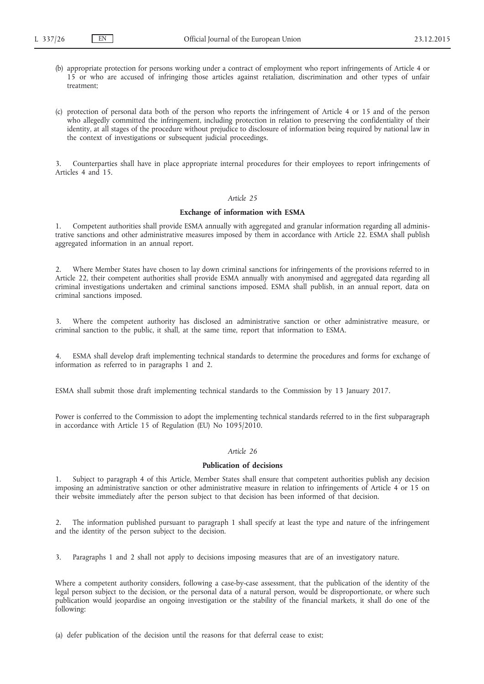- (b) appropriate protection for persons working under a contract of employment who report infringements of Article 4 or 15 or who are accused of infringing those articles against retaliation, discrimination and other types of unfair treatment;
- (c) protection of personal data both of the person who reports the infringement of Article 4 or 15 and of the person who allegedly committed the infringement, including protection in relation to preserving the confidentiality of their identity, at all stages of the procedure without prejudice to disclosure of information being required by national law in the context of investigations or subsequent judicial proceedings.

3. Counterparties shall have in place appropriate internal procedures for their employees to report infringements of Articles 4 and 15.

### *Article 25*

### **Exchange of information with ESMA**

1. Competent authorities shall provide ESMA annually with aggregated and granular information regarding all administrative sanctions and other administrative measures imposed by them in accordance with Article 22. ESMA shall publish aggregated information in an annual report.

2. Where Member States have chosen to lay down criminal sanctions for infringements of the provisions referred to in Article 22, their competent authorities shall provide ESMA annually with anonymised and aggregated data regarding all criminal investigations undertaken and criminal sanctions imposed. ESMA shall publish, in an annual report, data on criminal sanctions imposed.

3. Where the competent authority has disclosed an administrative sanction or other administrative measure, or criminal sanction to the public, it shall, at the same time, report that information to ESMA.

4. ESMA shall develop draft implementing technical standards to determine the procedures and forms for exchange of information as referred to in paragraphs 1 and 2.

ESMA shall submit those draft implementing technical standards to the Commission by 13 January 2017.

Power is conferred to the Commission to adopt the implementing technical standards referred to in the first subparagraph in accordance with Article 15 of Regulation (EU) No 1095/2010.

### *Article 26*

### **Publication of decisions**

1. Subject to paragraph 4 of this Article, Member States shall ensure that competent authorities publish any decision imposing an administrative sanction or other administrative measure in relation to infringements of Article 4 or 15 on their website immediately after the person subject to that decision has been informed of that decision.

2. The information published pursuant to paragraph 1 shall specify at least the type and nature of the infringement and the identity of the person subject to the decision.

3. Paragraphs 1 and 2 shall not apply to decisions imposing measures that are of an investigatory nature.

Where a competent authority considers, following a case-by-case assessment, that the publication of the identity of the legal person subject to the decision, or the personal data of a natural person, would be disproportionate, or where such publication would jeopardise an ongoing investigation or the stability of the financial markets, it shall do one of the following:

(a) defer publication of the decision until the reasons for that deferral cease to exist;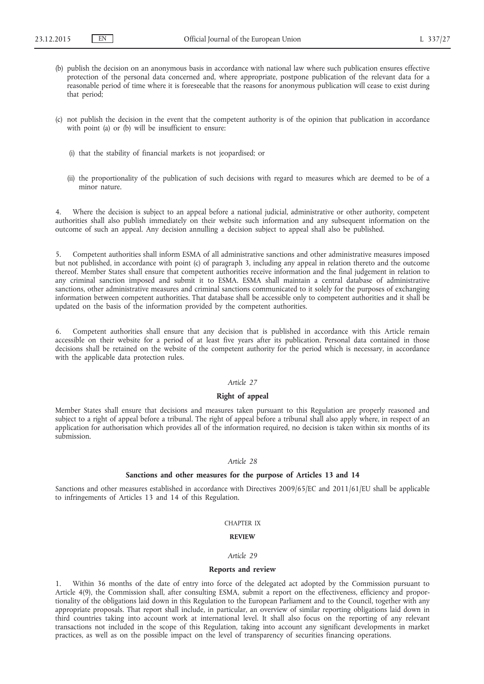- (b) publish the decision on an anonymous basis in accordance with national law where such publication ensures effective protection of the personal data concerned and, where appropriate, postpone publication of the relevant data for a reasonable period of time where it is foreseeable that the reasons for anonymous publication will cease to exist during that period;
- (c) not publish the decision in the event that the competent authority is of the opinion that publication in accordance with point (a) or (b) will be insufficient to ensure:
	- (i) that the stability of financial markets is not jeopardised; or
	- (ii) the proportionality of the publication of such decisions with regard to measures which are deemed to be of a minor nature.

Where the decision is subject to an appeal before a national judicial, administrative or other authority, competent authorities shall also publish immediately on their website such information and any subsequent information on the outcome of such an appeal. Any decision annulling a decision subject to appeal shall also be published.

5. Competent authorities shall inform ESMA of all administrative sanctions and other administrative measures imposed but not published, in accordance with point (c) of paragraph 3, including any appeal in relation thereto and the outcome thereof. Member States shall ensure that competent authorities receive information and the final judgement in relation to any criminal sanction imposed and submit it to ESMA. ESMA shall maintain a central database of administrative sanctions, other administrative measures and criminal sanctions communicated to it solely for the purposes of exchanging information between competent authorities. That database shall be accessible only to competent authorities and it shall be updated on the basis of the information provided by the competent authorities.

6. Competent authorities shall ensure that any decision that is published in accordance with this Article remain accessible on their website for a period of at least five years after its publication. Personal data contained in those decisions shall be retained on the website of the competent authority for the period which is necessary, in accordance with the applicable data protection rules.

### *Article 27*

### **Right of appeal**

Member States shall ensure that decisions and measures taken pursuant to this Regulation are properly reasoned and subject to a right of appeal before a tribunal. The right of appeal before a tribunal shall also apply where, in respect of an application for authorisation which provides all of the information required, no decision is taken within six months of its submission.

### *Article 28*

### **Sanctions and other measures for the purpose of Articles 13 and 14**

Sanctions and other measures established in accordance with Directives 2009/65/EC and 2011/61/EU shall be applicable to infringements of Articles 13 and 14 of this Regulation.

### CHAPTER IX

### **REVIEW**

### *Article 29*

#### **Reports and review**

Within 36 months of the date of entry into force of the delegated act adopted by the Commission pursuant to Article 4(9), the Commission shall, after consulting ESMA, submit a report on the effectiveness, efficiency and proportionality of the obligations laid down in this Regulation to the European Parliament and to the Council, together with any appropriate proposals. That report shall include, in particular, an overview of similar reporting obligations laid down in third countries taking into account work at international level. It shall also focus on the reporting of any relevant transactions not included in the scope of this Regulation, taking into account any significant developments in market practices, as well as on the possible impact on the level of transparency of securities financing operations.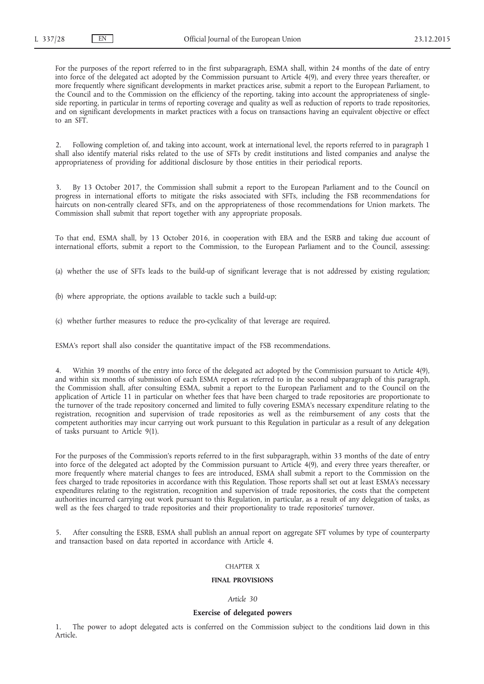For the purposes of the report referred to in the first subparagraph, ESMA shall, within 24 months of the date of entry into force of the delegated act adopted by the Commission pursuant to Article 4(9), and every three years thereafter, or more frequently where significant developments in market practices arise, submit a report to the European Parliament, to the Council and to the Commission on the efficiency of the reporting, taking into account the appropriateness of singleside reporting, in particular in terms of reporting coverage and quality as well as reduction of reports to trade repositories, and on significant developments in market practices with a focus on transactions having an equivalent objective or effect to an SFT.

2. Following completion of, and taking into account, work at international level, the reports referred to in paragraph 1 shall also identify material risks related to the use of SFTs by credit institutions and listed companies and analyse the appropriateness of providing for additional disclosure by those entities in their periodical reports.

3. By 13 October 2017, the Commission shall submit a report to the European Parliament and to the Council on progress in international efforts to mitigate the risks associated with SFTs, including the FSB recommendations for haircuts on non-centrally cleared SFTs, and on the appropriateness of those recommendations for Union markets. The Commission shall submit that report together with any appropriate proposals.

To that end, ESMA shall, by 13 October 2016, in cooperation with EBA and the ESRB and taking due account of international efforts, submit a report to the Commission, to the European Parliament and to the Council, assessing:

- (a) whether the use of SFTs leads to the build-up of significant leverage that is not addressed by existing regulation;
- (b) where appropriate, the options available to tackle such a build-up;
- (c) whether further measures to reduce the pro-cyclicality of that leverage are required.

ESMA's report shall also consider the quantitative impact of the FSB recommendations.

4. Within 39 months of the entry into force of the delegated act adopted by the Commission pursuant to Article 4(9), and within six months of submission of each ESMA report as referred to in the second subparagraph of this paragraph, the Commission shall, after consulting ESMA, submit a report to the European Parliament and to the Council on the application of Article 11 in particular on whether fees that have been charged to trade repositories are proportionate to the turnover of the trade repository concerned and limited to fully covering ESMA's necessary expenditure relating to the registration, recognition and supervision of trade repositories as well as the reimbursement of any costs that the competent authorities may incur carrying out work pursuant to this Regulation in particular as a result of any delegation of tasks pursuant to Article 9(1).

For the purposes of the Commission's reports referred to in the first subparagraph, within 33 months of the date of entry into force of the delegated act adopted by the Commission pursuant to Article 4(9), and every three years thereafter, or more frequently where material changes to fees are introduced, ESMA shall submit a report to the Commission on the fees charged to trade repositories in accordance with this Regulation. Those reports shall set out at least ESMA's necessary expenditures relating to the registration, recognition and supervision of trade repositories, the costs that the competent authorities incurred carrying out work pursuant to this Regulation, in particular, as a result of any delegation of tasks, as well as the fees charged to trade repositories and their proportionality to trade repositories' turnover.

5. After consulting the ESRB, ESMA shall publish an annual report on aggregate SFT volumes by type of counterparty and transaction based on data reported in accordance with Article 4.

### CHAPTER X

### **FINAL PROVISIONS**

#### *Article 30*

### **Exercise of delegated powers**

The power to adopt delegated acts is conferred on the Commission subject to the conditions laid down in this Article.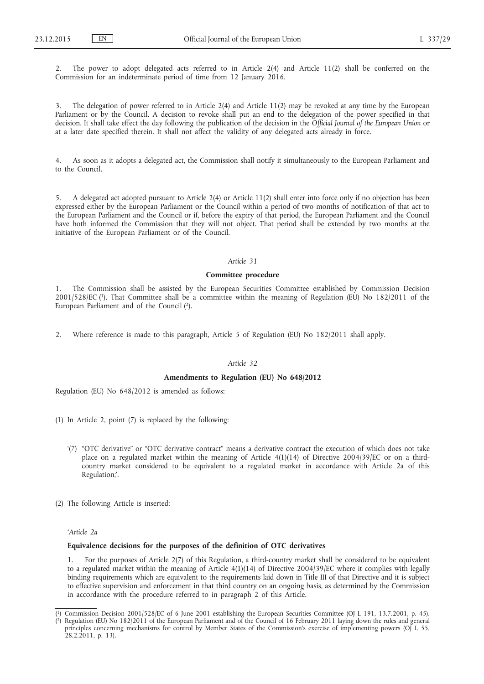2. The power to adopt delegated acts referred to in Article 2(4) and Article 11(2) shall be conferred on the Commission for an indeterminate period of time from 12 January 2016.

3. The delegation of power referred to in Article 2(4) and Article 11(2) may be revoked at any time by the European Parliament or by the Council. A decision to revoke shall put an end to the delegation of the power specified in that decision. It shall take effect the day following the publication of the decision in the *Official Journal of the European Union* or at a later date specified therein. It shall not affect the validity of any delegated acts already in force.

4. As soon as it adopts a delegated act, the Commission shall notify it simultaneously to the European Parliament and to the Council.

5. A delegated act adopted pursuant to Article 2(4) or Article 11(2) shall enter into force only if no objection has been expressed either by the European Parliament or the Council within a period of two months of notification of that act to the European Parliament and the Council or if, before the expiry of that period, the European Parliament and the Council have both informed the Commission that they will not object. That period shall be extended by two months at the initiative of the European Parliament or of the Council.

### *Article 31*

#### **Committee procedure**

1. The Commission shall be assisted by the European Securities Committee established by Commission Decision 2001/528/EC (1). That Committee shall be a committee within the meaning of Regulation (EU) No 182/2011 of the European Parliament and of the Council (2).

2. Where reference is made to this paragraph, Article 5 of Regulation (EU) No 182/2011 shall apply.

### *Article 32*

### **Amendments to Regulation (EU) No 648/2012**

Regulation (EU) No 648/2012 is amended as follows:

- (1) In Article 2, point (7) is replaced by the following:
	- '(7) "OTC derivative" or "OTC derivative contract" means a derivative contract the execution of which does not take place on a regulated market within the meaning of Article 4(1)(14) of Directive 2004/39/EC or on a thirdcountry market considered to be equivalent to a regulated market in accordance with Article 2a of this Regulation;'.
- (2) The following Article is inserted:

*'Article 2a*

### **Equivalence decisions for the purposes of the definition of OTC derivatives**

1. For the purposes of Article 2(7) of this Regulation, a third-country market shall be considered to be equivalent to a regulated market within the meaning of Article 4(1)(14) of Directive 2004/39/EC where it complies with legally binding requirements which are equivalent to the requirements laid down in Title III of that Directive and it is subject to effective supervision and enforcement in that third country on an ongoing basis, as determined by the Commission in accordance with the procedure referred to in paragraph 2 of this Article.

<sup>(</sup> 1) Commission Decision 2001/528/EC of 6 June 2001 establishing the European Securities Committee (OJ L 191, 13.7.2001, p. 45). ( 2) Regulation (EU) No 182/2011 of the European Parliament and of the Council of 16 February 2011 laying down the rules and general principles concerning mechanisms for control by Member States of the Commission's exercise of implementing powers (OJ L 55, 28.2.2011, p. 13).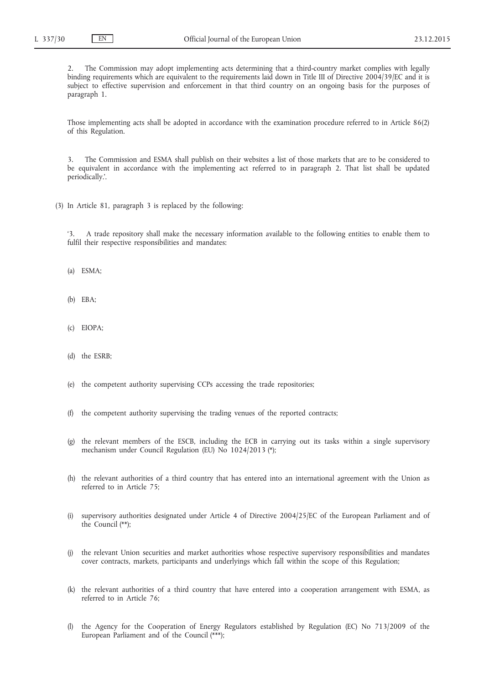2. The Commission may adopt implementing acts determining that a third-country market complies with legally binding requirements which are equivalent to the requirements laid down in Title III of Directive 2004/39/EC and it is subject to effective supervision and enforcement in that third country on an ongoing basis for the purposes of paragraph 1.

Those implementing acts shall be adopted in accordance with the examination procedure referred to in Article 86(2) of this Regulation.

3. The Commission and ESMA shall publish on their websites a list of those markets that are to be considered to be equivalent in accordance with the implementing act referred to in paragraph 2. That list shall be updated periodically.'.

(3) In Article 81, paragraph 3 is replaced by the following:

'3. A trade repository shall make the necessary information available to the following entities to enable them to fulfil their respective responsibilities and mandates:

- (a) ESMA;
- (b) EBA;
- (c) EIOPA;
- (d) the ESRB;
- (e) the competent authority supervising CCPs accessing the trade repositories;
- (f) the competent authority supervising the trading venues of the reported contracts;
- (g) the relevant members of the ESCB, including the ECB in carrying out its tasks within a single supervisory mechanism under Council Regulation (EU) No 1024/2013 (\*);
- (h) the relevant authorities of a third country that has entered into an international agreement with the Union as referred to in Article 75;
- (i) supervisory authorities designated under Article 4 of Directive 2004/25/EC of the European Parliament and of the Council (\*\*);
- (j) the relevant Union securities and market authorities whose respective supervisory responsibilities and mandates cover contracts, markets, participants and underlyings which fall within the scope of this Regulation;
- (k) the relevant authorities of a third country that have entered into a cooperation arrangement with ESMA, as referred to in Article 76;
- the Agency for the Cooperation of Energy Regulators established by Regulation (EC) No 713/2009 of the European Parliament and of the Council (\*\*\*);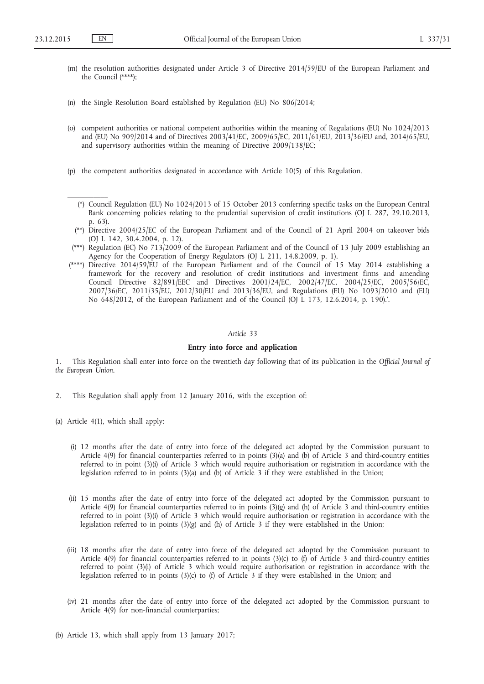$\mathcal{L}$ 

- (m) the resolution authorities designated under Article 3 of Directive 2014/59/EU of the European Parliament and the Council (\*\*\*\*);
- (n) the Single Resolution Board established by Regulation (EU) No 806/2014;
- (o) competent authorities or national competent authorities within the meaning of Regulations (EU) No 1024/2013 and (EU) No 909/2014 and of Directives 2003/41/EC, 2009/65/EC, 2011/61/EU, 2013/36/EU and, 2014/65/EU, and supervisory authorities within the meaning of Directive 2009/138/EC;
- (p) the competent authorities designated in accordance with Article 10(5) of this Regulation.
	- (\*) Council Regulation (EU) No 1024/2013 of 15 October 2013 conferring specific tasks on the European Central Bank concerning policies relating to the prudential supervision of credit institutions (OJ L 287, 29.10.2013, p. 63).
	- (\*\*) Directive 2004/25/EC of the European Parliament and of the Council of 21 April 2004 on takeover bids (OJ L 142, 30.4.2004, p. 12).
- (\*\*\*) Regulation (EC) No 713/2009 of the European Parliament and of the Council of 13 July 2009 establishing an Agency for the Cooperation of Energy Regulators (OJ L 211, 14.8.2009, p. 1).
- (\*\*\*\*) Directive 2014/59/EU of the European Parliament and of the Council of 15 May 2014 establishing a framework for the recovery and resolution of credit institutions and investment firms and amending Council Directive 82/891/EEC and Directives 2001/24/EC, 2002/47/EC, 2004/25/EC, 2005/56/EC, 2007/36/EC, 2011/35/EU, 2012/30/EU and 2013/36/EU, and Regulations (EU) No 1093/2010 and (EU) No 648/2012, of the European Parliament and of the Council (OJ L 173, 12.6.2014, p. 190).'.

### *Article 33*

### **Entry into force and application**

1. This Regulation shall enter into force on the twentieth day following that of its publication in the *Official Journal of the European Union*.

- 2. This Regulation shall apply from 12 January 2016, with the exception of:
- (a) Article 4(1), which shall apply:
	- (i) 12 months after the date of entry into force of the delegated act adopted by the Commission pursuant to Article 4(9) for financial counterparties referred to in points (3)(a) and (b) of Article 3 and third-country entities referred to in point (3)(i) of Article 3 which would require authorisation or registration in accordance with the legislation referred to in points (3)(a) and (b) of Article 3 if they were established in the Union;
	- (ii) 15 months after the date of entry into force of the delegated act adopted by the Commission pursuant to Article 4(9) for financial counterparties referred to in points  $(3)(g)$  and  $(h)$  of Article 3 and third-country entities referred to in point (3)(i) of Article 3 which would require authorisation or registration in accordance with the legislation referred to in points (3)(g) and (h) of Article 3 if they were established in the Union;
	- (iii) 18 months after the date of entry into force of the delegated act adopted by the Commission pursuant to Article 4(9) for financial counterparties referred to in points (3)(c) to (f) of Article 3 and third-country entities referred to point (3)(i) of Article 3 which would require authorisation or registration in accordance with the legislation referred to in points (3)(c) to (f) of Article 3 if they were established in the Union; and
	- (iv) 21 months after the date of entry into force of the delegated act adopted by the Commission pursuant to Article 4(9) for non-financial counterparties;
- (b) Article 13, which shall apply from 13 January 2017;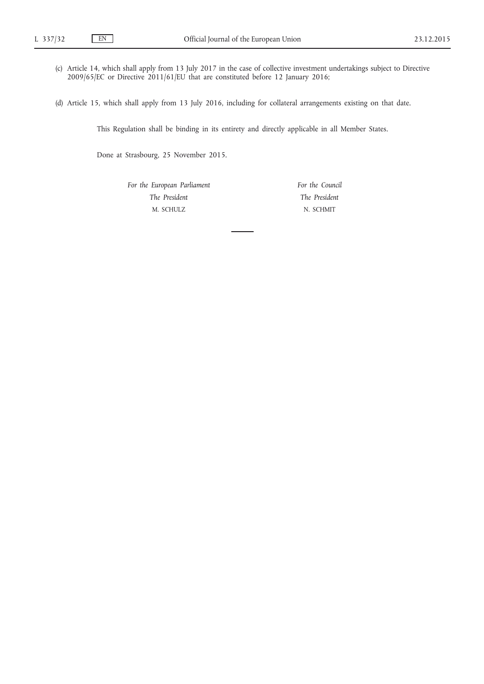- (c) Article 14, which shall apply from 13 July 2017 in the case of collective investment undertakings subject to Directive 2009/65/EC or Directive 2011/61/EU that are constituted before 12 January 2016;
- (d) Article 15, which shall apply from 13 July 2016, including for collateral arrangements existing on that date.

This Regulation shall be binding in its entirety and directly applicable in all Member States.

Done at Strasbourg, 25 November 2015.

*For the European Parliament The President* M. SCHULZ

*For the Council The President* N. SCHMIT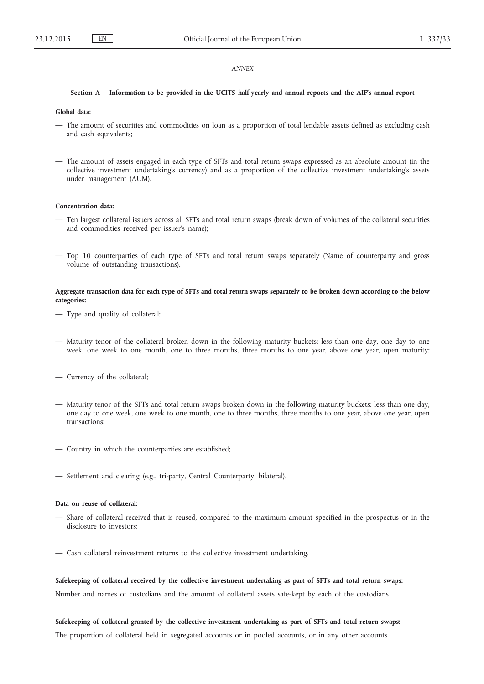#### *ANNEX*

### **Section A – Information to be provided in the UCITS half-yearly and annual reports and the AIF's annual report**

### **Global data:**

- The amount of securities and commodities on loan as a proportion of total lendable assets defined as excluding cash and cash equivalents;
- The amount of assets engaged in each type of SFTs and total return swaps expressed as an absolute amount (in the collective investment undertaking's currency) and as a proportion of the collective investment undertaking's assets under management (AUM).

### **Concentration data:**

- Ten largest collateral issuers across all SFTs and total return swaps (break down of volumes of the collateral securities and commodities received per issuer's name);
- Top 10 counterparties of each type of SFTs and total return swaps separately (Name of counterparty and gross volume of outstanding transactions).

### **Aggregate transaction data for each type of SFTs and total return swaps separately to be broken down according to the below categories:**

- Type and quality of collateral;
- Maturity tenor of the collateral broken down in the following maturity buckets: less than one day, one day to one week, one week to one month, one to three months, three months to one year, above one year, open maturity;
- Currency of the collateral;
- Maturity tenor of the SFTs and total return swaps broken down in the following maturity buckets: less than one day, one day to one week, one week to one month, one to three months, three months to one year, above one year, open transactions;
- Country in which the counterparties are established;
- Settlement and clearing (e.g., tri-party, Central Counterparty, bilateral).

### **Data on reuse of collateral:**

- Share of collateral received that is reused, compared to the maximum amount specified in the prospectus or in the disclosure to investors;
- Cash collateral reinvestment returns to the collective investment undertaking.

**Safekeeping of collateral received by the collective investment undertaking as part of SFTs and total return swaps:** Number and names of custodians and the amount of collateral assets safe-kept by each of the custodians

# **Safekeeping of collateral granted by the collective investment undertaking as part of SFTs and total return swaps:**

The proportion of collateral held in segregated accounts or in pooled accounts, or in any other accounts